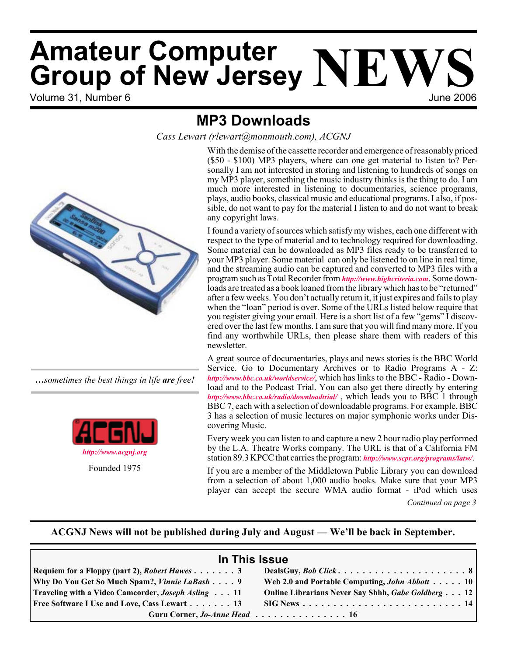# Volume 31, Number 6 June 2006 **Amateur Computer AMATRALE COMPUTER NEWS**<br>**Group of New Jersey NEW**

# **MP3 Downloads**

*Cass Lewart (rlewart@monmouth.com), ACGNJ*



*…sometimes the best things in life are free!*



Founded 1975

With the demise of the cassette recorder and emergence of reasonably priced (\$50 - \$100) MP3 players, where can one get material to listen to? Personally I am not interested in storing and listening to hundreds of songs on my MP3 player, something the music industry thinks is the thing to do. I am much more interested in listening to documentaries, science programs, plays, audio books, classical music and educational programs. I also, if possible, do not want to pay for the material I listen to and do not want to break any copyright laws.

I found a variety of sources which satisfy my wishes, each one different with respect to the type of material and to technology required for downloading. Some material can be downloaded as MP3 files ready to be transferred to your MP3 player. Some material can only be listened to on line in real time, and the streaming audio can be captured and converted to MP3 files with a program such as Total Recorder from *<http://www.highcriteria.com>*. Some downloads are treated as a book loaned from the library which has to be "returned" after a few weeks. You don't actually return it, it just expires and fails to play when the "loan" period is over. Some of the URLs listed below require that you register giving your email. Here is a short list of a few "gems" I discovered over the last few months. I am sure that you will find many more. If you find any worthwhile URLs, then please share them with readers of this newsletter.

A great source of documentaries, plays and news stories is the BBC World Service. Go to Documentary Archives or to Radio Programs A - Z: *<http://www.bbc.co.uk/worldservice/>*, which has links to the BBC - Radio - Download and to the Podcast Trial. You can also get there directly by entering *<http://www.bbc.co.uk/radio/downloadtrial/>* , which leads you to BBC 1 through BBC 7, each with a selection of downloadable programs. For example, BBC 3 has a selection of music lectures on major symphonic works under Discovering Music.

Every week you can listen to and capture a new 2 hour radio play performed by the L.A. Theatre Works company. The URL is that of a California FM station 89.3 KPCC that carries the program: *<http://www.scpr.org/programs/latw/>*.

If you are a member of the Middletown Public Library you can download from a selection of about 1,000 audio books. Make sure that your MP3 player can accept the secure WMA audio format - iPod which uses

*Continued on page 3*

### **ACGNJ News will not be published during July and August — We'll be back in September.**

| In This Issue                                              |                                                                                  |  |  |  |
|------------------------------------------------------------|----------------------------------------------------------------------------------|--|--|--|
| Requiem for a Floppy (part 2), <i>Robert Hawes</i> 3       |                                                                                  |  |  |  |
| Why Do You Get So Much Spam?, <i>Vinnie LaBash</i> 9       | Web 2.0 and Portable Computing, <i>John Abbott</i> 10                            |  |  |  |
| <b>Traveling with a Video Camcorder, Joseph Asling </b> 11 | Online Librarians Never Say Shhh, Gabe Goldberg 12                               |  |  |  |
| <b>Free Software I Use and Love, Cass Lewart  13</b>       | $\text{SIG News} \dots \dots \dots \dots \dots \dots \dots \dots \dots \dots 14$ |  |  |  |
| Guru Corner, Jo-Anne Head 16                               |                                                                                  |  |  |  |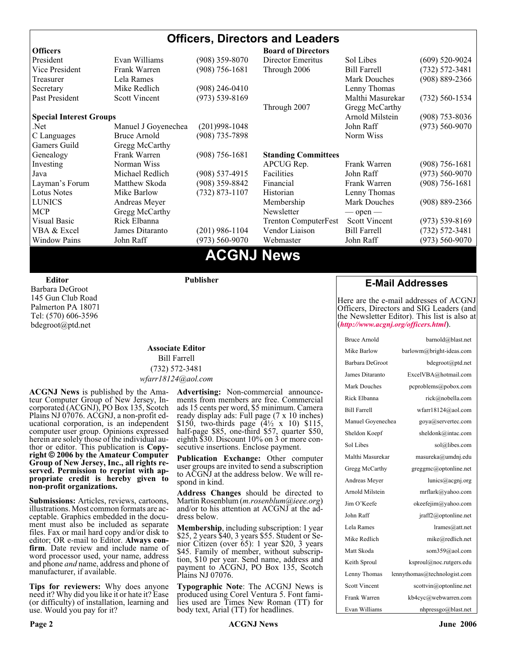#### **Officers, Directors and Leaders Officers Board of Directors**<br> **President** Evan Williams (908) 359-8070 Director Emeritus (908) 359-8070 Director Emeritus Sol Libes (609) 520-9024 Vice President Frank Warren (908) 756-1681 Through 2006 Bill Farrell (732) 572-3481 Treasurer Lela Rames Lela Annes (908) 889-2366 Secretary Mike Redlich (908) 246-0410 Lenny Thomas Past President Scott Vincent (973) 539-8169 Malthi Masurekar (732) 560-1534 Through 2007 Gregg McCarthy **Special Interest Groups Arnold Milstein** (908) 753-8036 Net 1973) Manuel J Goyenechea (201)998-1048<br>C Languages Bruce Arnold (908) 735-7898 100 Norm Wiss C Languages Bruce Arnold (908) 735-7898 Gamers Guild Gregg McCarthy Genealogy Frank Warren (908) 756-1681 **Standing Committees** Investing Norman Wiss APCUG Rep. Frank Warren (908) 756-1681<br>Java Michael Redlich (908) 537-4915 Facilities John Raff (973) 560-9070 Java Michael Redlich (908) 537-4915 Facilities John Raff (973) 560-9070 Layman's Forum Matthew Skoda (908) 359-8842 Financial Frank Warren (908) 756-1681 Lotus Notes Mike Barlow (732) 873-1107 Historian Lenny Thomas LUNICS Andreas Meyer Membership Mark Douches (908) 889-2366 MCP Gregg McCarthy Newsletter — open — Visual Basic Rick Elbanna Trenton ComputerFest Scott Vincent (973) 539-8169 VBA & Excel James Ditaranto (201) 986-1104 Vendor Liaison Bill Farrell (732) 572-3481 Window Pains John Raff (973) 560-9070 Webmaster John Raff (973) 560-9070

### **ACGNJ News**

**Editor**

Barbara DeGroot 145 Gun Club Road Palmerton PA 18071 Tel: (570) 606-3596 bdegroot@ptd.net

#### **Associate Editor** Bill Farrell (732) 572-3481 *wfarr18124@aol.com*

**Publisher**

**ACGNJ News** is published by the Ama- teur Computer Group of New Jersey, In- corporated (ACGNJ), PO Box 135, Scotch Plains NJ 07076. ACGNJ, a non-profit ed-<br>ucational corporation, is an independent computer user group. Opinions expressed<br>herein are solely those of the individual author or editor. This publication is **Copy-**<br>right © 2006 by the Amateur Computer<br>Group of New Jersey, Inc., all rights re-**Group of New Jersey, Inc., all rights re- served. Permission to reprint with ap- propriate credit is hereby given to non-profit organizations.**

**Submissions:** Articles, reviews, cartoons, illustrations. Most common formats are acceptable. Graphics embedded in the docu-<br>ment must also be included as separate files. Fax or mail hard copy and/or disk to editor: OR e-mail to Editor. **Always con**firm. Date review and include name of word processor used, your name, address and phone *and* name, address and phone of manufacturer, if available.

**Tips for reviewers:** Why does anyone need it? Why did you like it or hate it? Ease (or difficulty) of installation, learning and use. Would you pay for it?

**Advertising:** Non-commercial announce- ments from members are free. Commercial ads 15 cents per word, \$5 minimum. Camera ready display ads: Full page (7 x 10 inches) \$150, two-thirds page (4½ x 10) \$115, half-page \$85, one-third \$57, quarter \$50, eighth \$30. Discount 10% on 3 or more con- secutive insertions. Enclose payment.

**Publication Exchange:** Other computer user groups are invited to send a subscription to ACGNJ at the address below. We will re- spond in kind.

**Address Changes** should be directed to Martin Rosenblum (*m.rosenblum@ieee.org*) and/or to his attention at ACGNJ at the ad- dress below.

**Membership**, including subscription: 1 year \$25, 2 years \$40, 3 years \$55. Student or Senior Citizen (over 65): 1 year \$20, 3 years \$45. Family of member, without subscription, \$10 per year. Send name, address and payment to ACGNJ, PO Box 135, Scotch Plains NJ 07076.

**Typographic Note**: The ACGNJ News is produced using Corel Ventura 5. Font fami- lies used are Times New Roman (TT) for body text, Arial (TT) for headlines.

#### **E-Mail Addresses**

Here are the e-mail addresses of ACGNJ Officers, Directors and SIG Leaders (and the Newsletter Editor). This list is also at (*<http://www.acgnj.org/officers.html>*).

| <b>Bruce Arnold</b>  | barnold@blast.net            |
|----------------------|------------------------------|
| Mike Barlow          | barlowm@bright-ideas.com     |
| Barbara DeGroot      | bdegroot@ptd.net             |
| James Ditaranto      | ExcelVBA@hotmail.com         |
| Mark Douches         | pcproblems@pobox.com         |
| Rick Elbanna         | rick@nobella.com             |
| <b>Bill Farrell</b>  | wfarr18124@aol.com           |
| Manuel Goyenechea    | goya@servertec.com           |
| Sheldon Koepf        | sheldonk@intac.com           |
| Sol Libes            | sol@libes.com                |
| Malthi Masurekar     | masureka@umdnj.edu           |
| Gregg McCarthy       | greggmc@optonline.net        |
| Andreas Meyer        | lunics@acgnj.org             |
| Arnold Milstein      | mrflark@yahoo.com            |
| Jim O'Keefe          | okeefejim@yahoo.com          |
| John Raff            | jraff2@optonline.net         |
| Lela Rames           | lrames@att.net               |
| Mike Redlich         | mike@redlich.net             |
| Matt Skoda           | som359@aol.com               |
| Keith Sproul         | ksproul@noc.rutgers.edu      |
| Lenny Thomas         | lennythomas@technologist.com |
| <b>Scott Vincent</b> | scottvin@optonline.net       |
| Frank Warren         | kb4cyc@webwarren.com         |
| Evan Williams        | nhpressgo@blast.net          |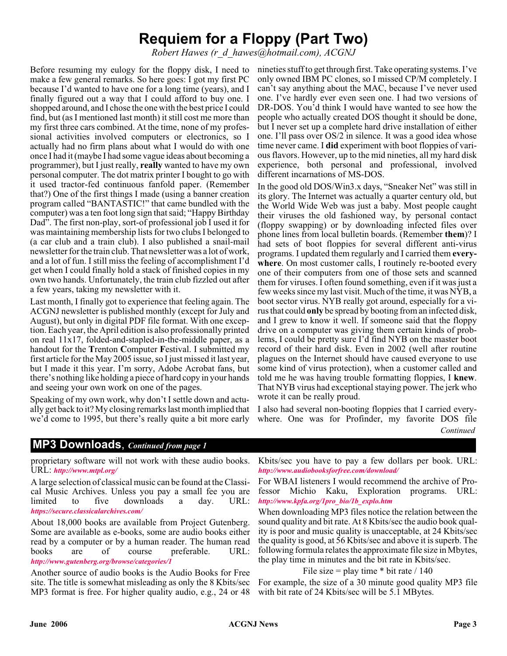# **Requiem for a Floppy (Part Two)**

*Robert Hawes (r\_d\_hawes@hotmail.com), ACGNJ*

Before resuming my eulogy for the floppy disk, I need to make a few general remarks. So here goes: I got my first PC because I'd wanted to have one for a long time (years), and I finally figured out a way that I could afford to buy one. I shopped around, and I chose the one with the best price I could find, but (as I mentioned last month) it still cost me more than my first three cars combined. At the time, none of my professional activities involved computers or electronics, so I actually had no firm plans about what I would do with one once I had it (maybe I had some vague ideas about becoming a programmer), but I just really, **really** wanted to have my own personal computer. The dot matrix printer I bought to go with it used tractor-fed continuous fanfold paper. (Remember that?) One of the first things I made (using a banner creation program called "BANTASTIC!" that came bundled with the computer) was a ten foot long sign that said; "Happy Birthday Dad". The first non-play, sort-of professional job I used it for was maintaining membership lists for two clubs I belonged to (a car club and a train club). I also published a snail-mail newsletter for the train club. That newsletter was a lot of work, and a lot of fun. I still miss the feeling of accomplishment I'd get when I could finally hold a stack of finished copies in my own two hands. Unfortunately, the train club fizzled out after a few years, taking my newsletter with it.

Last month, I finally got to experience that feeling again. The ACGNJ newsletter is published monthly (except for July and August), but only in digital PDF file format. With one exception. Each year, the April edition is also professionally printed on real 11x17, folded-and-stapled-in-the-middle paper, as a handout for the **T**renton **C**omputer **F**estival. I submitted my first article for the May 2005 issue, so I just missed it last year, but I made it this year. I'm sorry, Adobe Acrobat fans, but there's nothing like holding a piece of hard copy in your hands and seeing your own work on one of the pages.

Speaking of my own work, why don't I settle down and actually get back to it? My closing remarks last month implied that we'd come to 1995, but there's really quite a bit more early

nineties stuff to get through first. Take operating systems. I've only owned IBM PC clones, so I missed CP/M completely. I can't say anything about the MAC, because I've never used one. I've hardly ever even seen one. I had two versions of DR-DOS. You'd think I would have wanted to see how the people who actually created DOS thought it should be done, but I never set up a complete hard drive installation of either one. I'll pass over OS/2 in silence. It was a good idea whose time never came. I **did** experiment with boot floppies of various flavors. However, up to the mid nineties, all my hard disk experience, both personal and professional, involved different incarnations of MS-DOS.

In the good old DOS/Win3.x days, "Sneaker Net" was still in its glory. The Internet was actually a quarter century old, but the World Wide Web was just a baby. Most people caught their viruses the old fashioned way, by personal contact (floppy swapping) or by downloading infected files over phone lines from local bulletin boards. (Remember **them**)? I had sets of boot floppies for several different anti-virus programs. I updated them regularly and I carried them **everywhere**. On most customer calls, I routinely re-booted every one of their computers from one of those sets and scanned them for viruses. I often found something, even if it was just a few weeks since my last visit. Much of the time, it was NYB, a boot sector virus. NYB really got around, especially for a virus that could **only** be spread by booting from an infected disk, and I grew to know it well. If someone said that the floppy drive on a computer was giving them certain kinds of problems, I could be pretty sure I'd find NYB on the master boot record of their hard disk. Even in 2002 (well after routine plagues on the Internet should have caused everyone to use some kind of virus protection), when a customer called and told me he was having trouble formatting floppies, I **knew**. That NYB virus had exceptional staying power. The jerk who wrote it can be really proud.

I also had several non-booting floppies that I carried everywhere. One was for Profinder, my favorite DOS file *Continued*

#### **MP3 Downloads**, *Continued from page 1*

proprietary software will not work with these audio books. URL: *<http://www.mtpl.org/>*

A large selection of classical music can be found at the Classical Music Archives. Unless you pay a small fee you are limited to five downloads a day. URL: *[https://secure.classicalarchives.com/](http://)*

About 18,000 books are available from Project Gutenberg. Some are available as e-books, some are audio books either read by a computer or by a human reader. The human read books are of course preferable. URL: *<http://www.gutenberg.org/browse/categories/1>*

Another source of audio books is the Audio Books for Free site. The title is somewhat misleading as only the 8 Kbits/sec MP3 format is free. For higher quality audio, e.g., 24 or 48

Kbits/sec you have to pay a few dollars per book. URL: *<http://www.audiobooksforfree.com/download/>*

For WBAI listeners I would recommend the archive of Professor Michio Kaku, Exploration programs. URL: *[http://www.kpfa.org/1pro\\_bio/1b\\_explo.htm](http://www.kpfa.org/1pro_bio/1b_explo.htm)*

When downloading MP3 files notice the relation between the sound quality and bit rate. At 8 Kbits/sec the audio book quality is poor and music quality is unacceptable, at 24 Kbits/sec the quality is good, at 56 Kbits/sec and above it is superb. The following formula relates the approximate file size in Mbytes, the play time in minutes and the bit rate in Kbits/sec.

File size = play time  $*$  bit rate / 140

For example, the size of a 30 minute good quality MP3 file with bit rate of 24 Kbits/sec will be 5.1 MBytes.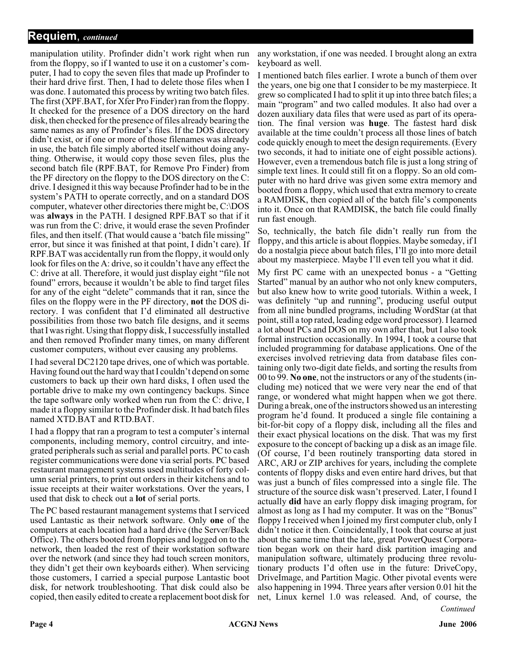#### **Requiem**, *continued*

manipulation utility. Profinder didn't work right when run from the floppy, so if I wanted to use it on a customer's computer, I had to copy the seven files that made up Profinder to their hard drive first. Then, I had to delete those files when I was done. I automated this process by writing two batch files. The first (XPF.BAT, for Xfer Pro Finder) ran from the floppy. It checked for the presence of a DOS directory on the hard disk, then checked for the presence of files already bearing the same names as any of Profinder's files. If the DOS directory didn't exist, or if one or more of those filenames was already in use, the batch file simply aborted itself without doing anything. Otherwise, it would copy those seven files, plus the second batch file (RPF.BAT, for Remove Pro Finder) from the PF directory on the floppy to the DOS directory on the C: drive. I designed it this way because Profinder had to be in the system's PATH to operate correctly, and on a standard DOS computer, whatever other directories there might be, C:\DOS was **always** in the PATH. I designed RPF.BAT so that if it was run from the C: drive, it would erase the seven Profinder files, and then itself. (That would cause a 'batch file missing' error, but since it was finished at that point, I didn't care). If RPF.BAT was accidentally run from the floppy, it would only look for files on the A: drive, so it couldn't have any effect the C: drive at all. Therefore, it would just display eight "file not found" errors, because it wouldn't be able to find target files for any of the eight "delete" commands that it ran, since the files on the floppy were in the PF directory, **not** the DOS directory. I was confident that I'd eliminated all destructive possibilities from those two batch file designs, and it seems that I was right. Using that floppy disk, I successfully installed and then removed Profinder many times, on many different customer computers, without ever causing any problems.

I had several DC2120 tape drives, one of which was portable. Having found out the hard way that I couldn't depend on some customers to back up their own hard disks, I often used the portable drive to make my own contingency backups. Since the tape software only worked when run from the C: drive, I made it a floppy similar to the Profinder disk. It had batch files named XTD.BAT and RTD.BAT.

I had a floppy that ran a program to test a computer's internal components, including memory, control circuitry, and integrated peripherals such as serial and parallel ports. PC to cash register communications were done via serial ports. PC based restaurant management systems used multitudes of forty column serial printers, to print out orders in their kitchens and to issue receipts at their waiter workstations. Over the years, I used that disk to check out a **lot** of serial ports.

The PC based restaurant management systems that I serviced used Lantastic as their network software. Only **one** of the computers at each location had a hard drive (the Server/Back Office). The others booted from floppies and logged on to the network, then loaded the rest of their workstation software over the network (and since they had touch screen monitors, they didn't get their own keyboards either). When servicing those customers, I carried a special purpose Lantastic boot disk, for network troubleshooting. That disk could also be copied, then easily edited to create a replacement boot disk for

any workstation, if one was needed. I brought along an extra keyboard as well.

I mentioned batch files earlier. I wrote a bunch of them over the years, one big one that I consider to be my masterpiece. It grew so complicated I had to split it up into three batch files; a main "program" and two called modules. It also had over a dozen auxiliary data files that were used as part of its operation. The final version was **huge**. The fastest hard disk available at the time couldn't process all those lines of batch code quickly enough to meet the design requirements. (Every two seconds, it had to initiate one of eight possible actions). However, even a tremendous batch file is just a long string of simple text lines. It could still fit on a floppy. So an old computer with no hard drive was given some extra memory and booted from a floppy, which used that extra memory to create a RAMDISK, then copied all of the batch file's components into it. Once on that RAMDISK, the batch file could finally run fast enough.

So, technically, the batch file didn't really run from the floppy, and this article is about floppies. Maybe someday, if I do a nostalgia piece about batch files, I'll go into more detail about my masterpiece. Maybe I'll even tell you what it did.

*Continued* My first PC came with an unexpected bonus - a "Getting Started" manual by an author who not only knew computers, but also knew how to write good tutorials. Within a week, I was definitely "up and running", producing useful output from all nine bundled programs, including WordStar (at that point, still a top rated, leading edge word processor). I learned a lot about PCs and DOS on my own after that, but I also took formal instruction occasionally. In 1994, I took a course that included programming for database applications. One of the exercises involved retrieving data from database files containing only two-digit date fields, and sorting the results from 00 to 99. **No one**, not the instructors or any of the students (including me) noticed that we were very near the end of that range, or wondered what might happen when we got there. During a break, one of the instructors showed us an interesting program he'd found. It produced a single file containing a bit-for-bit copy of a floppy disk, including all the files and their exact physical locations on the disk. That was my first exposure to the concept of backing up a disk as an image file. (Of course, I'd been routinely transporting data stored in ARC, ARJ or ZIP archives for years, including the complete contents of floppy disks and even entire hard drives, but that was just a bunch of files compressed into a single file. The structure of the source disk wasn't preserved. Later, I found I actually **did** have an early floppy disk imaging program, for almost as long as I had my computer. It was on the "Bonus" floppy I received when I joined my first computer club, only I didn't notice it then. Coincidentally, I took that course at just about the same time that the late, great PowerQuest Corporation began work on their hard disk partition imaging and manipulation software, ultimately producing three revolutionary products I'd often use in the future: DriveCopy, DriveImage, and Partition Magic. Other pivotal events were also happening in 1994. Three years after version 0.01 hit the net, Linux kernel 1.0 was released. And, of course, the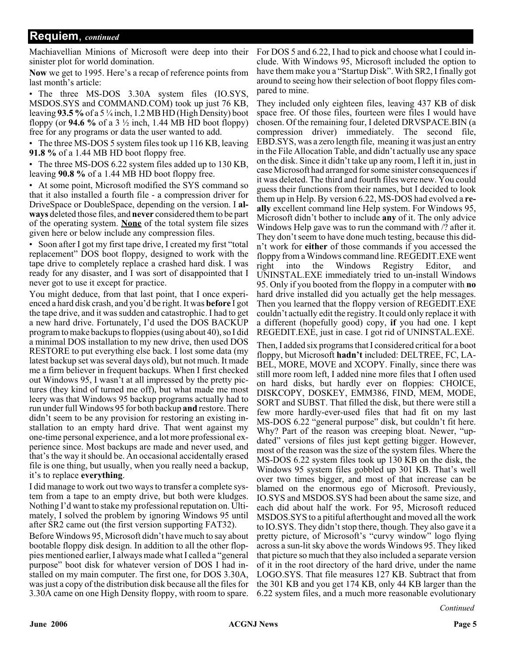#### **Requiem**, *continued*

Machiavellian Minions of Microsoft were deep into their sinister plot for world domination.

**Now** we get to 1995. Here's a recap of reference points from last month's article:

• The three MS-DOS 3.30A system files (IO.SYS, MSDOS.SYS and COMMAND.COM) took up just 76 KB, leaving **93.5 %**of a 5 ¼ inch, 1.2 MB HD (High Density) boot floppy (or **94.6 %** of a 3 ½ inch, 1.44 MB HD boot floppy) free for any programs or data the user wanted to add.

• The three MS-DOS 5 system files took up 116 KB, leaving **91.8 %** of a 1.44 MB HD boot floppy free.

• The three MS-DOS 6.22 system files added up to 130 KB, leaving **90.8 %** of a 1.44 MB HD boot floppy free.

• At some point, Microsoft modified the SYS command so that it also installed a fourth file - a compression driver for DriveSpace or DoubleSpace, depending on the version. I **always** deleted those files, and **never** considered them to be part of the operating system. **None** of the total system file sizes given here or below include any compression files.

• Soon after I got my first tape drive, I created my first "total" replacement" DOS boot floppy, designed to work with the tape drive to completely replace a crashed hard disk. I was ready for any disaster, and I was sort of disappointed that I never got to use it except for practice.

You might deduce, from that last point, that I once experienced a hard disk crash, and you'd be right. It was **before** I got the tape drive, and it was sudden and catastrophic. I had to get a new hard drive. Fortunately, I'd used the DOS BACKUP program to make backups to floppies (using about 40), so I did a minimal DOS installation to my new drive, then used DOS RESTORE to put everything else back. I lost some data (my latest backup set was several days old), but not much. It made me a firm believer in frequent backups. When I first checked out Windows 95, I wasn't at all impressed by the pretty pictures (they kind of turned me off), but what made me most leery was that Windows 95 backup programs actually had to run under full Windows 95 for both backup **and** restore. There didn't seem to be any provision for restoring an existing installation to an empty hard drive. That went against my one-time personal experience, and a lot more professional experience since. Most backups are made and never used, and that's the way it should be. An occasional accidentally erased file is one thing, but usually, when you really need a backup, it's to replace **everything**.

I did manage to work out two ways to transfer a complete system from a tape to an empty drive, but both were kludges. Nothing I'd want to stake my professional reputation on. Ultimately, I solved the problem by ignoring Windows 95 until after SR2 came out (the first version supporting FAT32).

Before Windows 95, Microsoft didn't have much to say about bootable floppy disk design. In addition to all the other floppies mentioned earlier, I always made what I called a "general purpose" boot disk for whatever version of DOS I had installed on my main computer. The first one, for DOS 3.30A, was just a copy of the distribution disk because all the files for 3.30A came on one High Density floppy, with room to spare.

For DOS 5 and 6.22, I had to pick and choose what I could include. With Windows 95, Microsoft included the option to have them make you a "Startup Disk". With SR2, I finally got around to seeing how their selection of boot floppy files compared to mine.

They included only eighteen files, leaving 437 KB of disk space free. Of those files, fourteen were files I would have chosen. Of the remaining four, I deleted DRVSPACE.BIN (a compression driver) immediately. The second file, EBD.SYS, was a zero length file, meaning it was just an entry in the File Allocation Table, and didn't actually use any space on the disk. Since it didn't take up any room, I left it in, just in case Microsoft had arranged for some sinister consequences if it was deleted. The third and fourth files were new. You could guess their functions from their names, but I decided to look them up in Help. By version 6.22, MS-DOS had evolved a **really** excellent command line Help system. For Windows 95, Microsoft didn't bother to include **any** of it. The only advice Windows Help gave was to run the command with /? after it. They don't seem to have done much testing, because this didn't work for **either** of those commands if you accessed the floppy from a Windows command line. REGEDIT.EXE went right into the Windows Registry Editor, and UNINSTAL.EXE immediately tried to un-install Windows 95. Only if you booted from the floppy in a computer with **no** hard drive installed did you actually get the help messages. Then you learned that the floppy version of REGEDIT.EXE couldn't actually edit the registry. It could only replace it with a different (hopefully good) copy, **if** you had one. I kept REGEDIT.EXE, just in case. I got rid of UNINSTAL.EXE.

Then, I added six programs that I considered critical for a boot floppy, but Microsoft **hadn't** included: DELTREE, FC, LA-BEL, MORE, MOVE and XCOPY. Finally, since there was still more room left, I added nine more files that I often used on hard disks, but hardly ever on floppies: CHOICE, DISKCOPY, DOSKEY, EMM386, FIND, MEM, MODE, SORT and SUBST. That filled the disk, but there were still a few more hardly-ever-used files that had fit on my last MS-DOS 6.22 "general purpose" disk, but couldn't fit here. Why? Part of the reason was creeping bloat. Newer, "updated" versions of files just kept getting bigger. However, most of the reason was the size of the system files. Where the MS-DOS 6.22 system files took up 130 KB on the disk, the Windows 95 system files gobbled up 301 KB. That's well over two times bigger, and most of that increase can be blamed on the enormous ego of Microsoft. Previously, IO.SYS and MSDOS.SYS had been about the same size, and each did about half the work. For 95, Microsoft reduced MSDOS.SYS to a pitiful afterthought and moved all the work to IO.SYS. They didn't stop there, though. They also gave it a pretty picture, of Microsoft's "curvy window" logo flying across a sun-lit sky above the words Windows 95. They liked that picture so much that they also included a separate version of it in the root directory of the hard drive, under the name LOGO.SYS. That file measures 127 KB. Subtract that from the 301 KB and you get 174 KB, only 44 KB larger than the 6.22 system files, and a much more reasonable evolutionary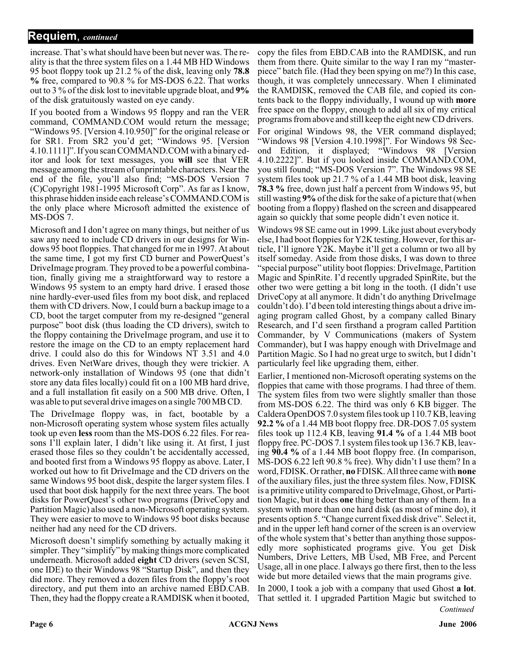increase. That's what should have been but never was. The reality is that the three system files on a 1.44 MB HD Windows 95 boot floppy took up 21.2 % of the disk, leaving only **78.8 %** free, compared to 90.8 % for MS-DOS 6.22. That works out to 3 % of the disk lost to inevitable upgrade bloat, and **9%** of the disk gratuitously wasted on eye candy.

If you booted from a Windows 95 floppy and ran the VER command, COMMAND.COM would return the message; "Windows 95. [Version 4.10.950]" for the original release or for SR1. From SR2 you'd get; "Windows 95. [Version 4.10.1111]". If you scan COMMAND.COM with a binary editor and look for text messages, you **will** see that VER message among the stream of unprintable characters. Near the end of the file, you'll also find; "MS-DOS Version 7 (C)Copyright 1981-1995 Microsoft Corp". As far as I know, this phrase hidden inside each release's COMMAND.COM is the only place where Microsoft admitted the existence of MS-DOS 7.

Microsoft and I don't agree on many things, but neither of us saw any need to include CD drivers in our designs for Windows 95 boot floppies. That changed for me in 1997. At about the same time, I got my first CD burner and PowerQuest's DriveImage program. They proved to be a powerful combination, finally giving me a straightforward way to restore a Windows 95 system to an empty hard drive. I erased those nine hardly-ever-used files from my boot disk, and replaced them with CD drivers. Now, I could burn a backup image to a CD, boot the target computer from my re-designed "general purpose" boot disk (thus loading the CD drivers), switch to the floppy containing the DriveImage program, and use it to restore the image on the CD to an empty replacement hard drive. I could also do this for Windows NT 3.51 and 4.0 drives. Even NetWare drives, though they were trickier. A network-only installation of Windows 95 (one that didn't store any data files locally) could fit on a 100 MB hard drive, and a full installation fit easily on a 500 MB drive. Often, I was able to put several drive images on a single 700 MB CD.

The DriveImage floppy was, in fact, bootable by a non-Microsoft operating system whose system files actually took up even **less** room than the MS-DOS 6.22 files. For reasons I'll explain later, I didn't like using it. At first, I just erased those files so they couldn't be accidentally accessed, and booted first from a Windows 95 floppy as above. Later, I worked out how to fit DriveImage and the CD drivers on the same Windows 95 boot disk, despite the larger system files. I used that boot disk happily for the next three years. The boot disks for PowerQuest's other two programs (DriveCopy and Partition Magic) also used a non-Microsoft operating system. They were easier to move to Windows 95 boot disks because neither had any need for the CD drivers.

Microsoft doesn't simplify something by actually making it simpler. They "simplify" by making things more complicated underneath. Microsoft added **eight** CD drivers (seven SCSI, one IDE) to their Windows 98 "Startup Disk", and then they did more. They removed a dozen files from the floppy's root directory, and put them into an archive named EBD.CAB. Then, they had the floppy create a RAMDISK when it booted,

copy the files from EBD.CAB into the RAMDISK, and run them from there. Quite similar to the way I ran my "masterpiece" batch file. (Had they been spying on me?) In this case, though, it was completely unnecessary. When I eliminated the RAMDISK, removed the CAB file, and copied its contents back to the floppy individually, I wound up with **more** free space on the floppy, enough to add all six of my critical programs from above and still keep the eight new CD drivers.

For original Windows 98, the VER command displayed; "Windows 98 [Version 4.10.1998]". For Windows 98 Second Edition, it displayed; "Windows 98 [Version 4.10.2222]". But if you looked inside COMMAND.COM, you still found; "MS-DOS Version 7". The Windows 98 SE system files took up 21.7 % of a 1.44 MB boot disk, leaving **78.3 %** free, down just half a percent from Windows 95, but still wasting **9%**of the disk for the sake of a picture that (when booting from a floppy) flashed on the screen and disappeared again so quickly that some people didn't even notice it.

Windows 98 SE came out in 1999. Like just about everybody else, I had boot floppies for Y2K testing. However, for this article, I'll ignore Y2K. Maybe it'll get a column or two all by itself someday. Aside from those disks, I was down to three "special purpose" utility boot floppies: DriveImage, Partition Magic and SpinRite. I'd recently upgraded SpinRite, but the other two were getting a bit long in the tooth. (I didn't use DriveCopy at all anymore. It didn't do anything DriveImage couldn't do). I'd been told interesting things about a drive imaging program called Ghost, by a company called Binary Research, and I'd seen firsthand a program called Partition Commander, by V Communications (makers of System Commander), but I was happy enough with DriveImage and Partition Magic. So I had no great urge to switch, but I didn't particularly feel like upgrading them, either.

Earlier, I mentioned non-Microsoft operating systems on the floppies that came with those programs. I had three of them. The system files from two were slightly smaller than those from MS-DOS 6.22. The third was only 6 KB bigger. The Caldera OpenDOS 7.0 system files took up 110.7 KB, leaving **92.2 %** of a 1.44 MB boot floppy free. DR-DOS 7.05 system files took up 112.4 KB, leaving **91.4 %** of a 1.44 MB boot floppy free. PC-DOS 7.1 system files took up 136.7 KB, leaving **90.4 %** of a 1.44 MB boot floppy free. (In comparison, MS-DOS 6.22 left 90.8 % free). Why didn't I use them? In a word, FDISK. Or rather, **no** FDISK. All three came with **none** of the auxiliary files, just the three system files. Now, FDISK is a primitive utility compared to DriveImage, Ghost, or Partition Magic, but it does **one** thing better than any of them. In a system with more than one hard disk (as most of mine do), it presents option 5. "Change current fixed disk drive". Select it, and in the upper left hand corner of the screen is an overview of the whole system that's better than anything those supposedly more sophisticated programs give. You get Disk Numbers, Drive Letters, MB Used, MB Free, and Percent Usage, all in one place. I always go there first, then to the less wide but more detailed views that the main programs give.

In 2000, I took a job with a company that used Ghost **a lot**. That settled it. I upgraded Partition Magic but switched to *Continued*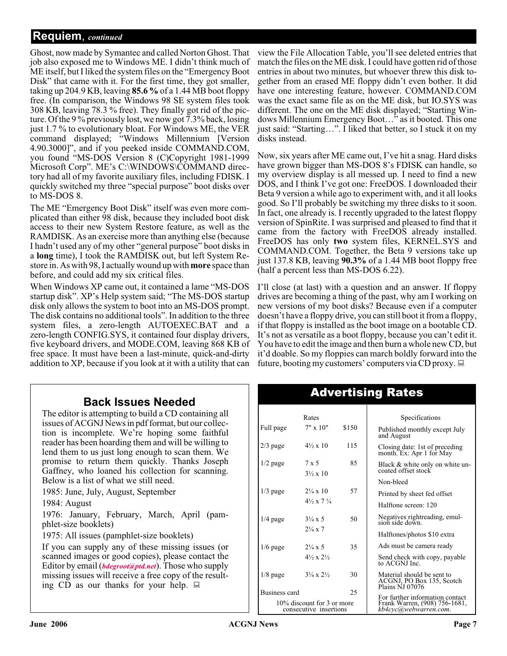### **Requiem**, *continued*

Ghost, now made by Symantec and called Norton Ghost. That job also exposed me to Windows ME. I didn't think much of ME itself, but I liked the system files on the "Emergency Boot Disk" that came with it. For the first time, they got smaller, taking up 204.9 KB, leaving **85.6 %** of a 1.44 MB boot floppy free. (In comparison, the Windows 98 SE system files took 308 KB, leaving 78.3 % free). They finally got rid of the picture. Of the 9 % previously lost, we now got 7.3% back, losing just 1.7 % to evolutionary bloat. For Windows ME, the VER command displayed; "Windows Millennium [Version 4.90.3000]", and if you peeked inside COMMAND.COM, you found "MS-DOS Version 8 (C)Copyright 1981-1999 Microsoft Corp". ME's C:\WINDOWS\COMMAND directory had all of my favorite auxiliary files, including FDISK. I quickly switched my three "special purpose" boot disks over to MS-DOS 8.

The ME "Emergency Boot Disk" itself was even more complicated than either 98 disk, because they included boot disk access to their new System Restore feature, as well as the RAMDISK. As an exercise more than anything else (because I hadn't used any of my other "general purpose" boot disks in a **long** time), I took the RAMDISK out, but left System Restore in. As with 98, I actually wound up with **more** space than before, and could add my six critical files.

When Windows XP came out, it contained a lame "MS-DOS startup disk". XP's Help system said; "The MS-DOS startup disk only allows the system to boot into an MS-DOS prompt. The disk contains no additional tools". In addition to the three system files, a zero-length AUTOEXEC.BAT and a zero-length CONFIG.SYS, it contained four display drivers, five keyboard drivers, and MODE.COM, leaving 868 KB of free space. It must have been a last-minute, quick-and-dirty addition to XP, because if you look at it with a utility that can

### **Back Issues Needed**

The editor is attempting to build a CD containing all issues of ACGNJ News in pdf format, but our collection is incomplete. We're hoping some faithful reader has been hoarding them and will be willing to lend them to us just long enough to scan them. We promise to return them quickly. Thanks Joseph Gaffney, who loaned his collection for scanning. Below is a list of what we still need.

1985: June, July, August, September

1984: August

1976: January, February, March, April (pamphlet-size booklets)

1975: All issues (pamphlet-size booklets)

If you can supply any of these missing issues (or scanned images or good copies), please contact the Editor by email (*[bdegroot@ptd.net](mailto:bdegroot@ptd.net)*). Those who supply missing issues will receive a free copy of the resulting CD as our thanks for your help.  $\Box$ 

view the File Allocation Table, you'll see deleted entries that match the files on the ME disk. I could have gotten rid of those entries in about two minutes, but whoever threw this disk together from an erased ME floppy didn't even bother. It did have one interesting feature, however. COMMAND.COM was the exact same file as on the ME disk, but IO.SYS was different. The one on the ME disk displayed; "Starting Windows Millennium Emergency Boot…" as it booted. This one just said: "Starting…". I liked that better, so I stuck it on my disks instead.

Now, six years after ME came out, I've hit a snag. Hard disks have grown bigger than MS-DOS 8's FDISK can handle, so my overview display is all messed up. I need to find a new DOS, and I think I've got one: FreeDOS. I downloaded their Beta 9 version a while ago to experiment with, and it all looks good. So I'll probably be switching my three disks to it soon. In fact, one already is. I recently upgraded to the latest floppy version of SpinRite. I was surprised and pleased to find that it came from the factory with FreeDOS already installed. FreeDOS has only **two** system files, KERNEL.SYS and COMMAND.COM. Together, the Beta 9 versions take up just 137.8 KB, leaving **90.3%** of a 1.44 MB boot floppy free (half a percent less than MS-DOS 6.22).

I'll close (at last) with a question and an answer. If floppy drives are becoming a thing of the past, why am I working on new versions of my boot disks? Because even if a computer doesn't have a floppy drive, you can still boot it from a floppy, if that floppy is installed as the boot image on a bootable CD. It's not as versatile as a boot floppy, because you can't edit it. You have to edit the image and then burn a whole new CD, but it'd doable. So my floppies can march boldly forward into the future, booting my customers' computers via CD proxy.  $\Box$ 

| Rates                                                |                                          |       | Specifications                                                                            |  |  |
|------------------------------------------------------|------------------------------------------|-------|-------------------------------------------------------------------------------------------|--|--|
| Full page                                            | $7" \times 10"$                          | \$150 | Published monthly except July<br>and August                                               |  |  |
| $2/3$ page                                           | $4\frac{1}{2} \times 10$                 | 115   | Closing date: 1st of preceding<br>month. Ex: Apr 1 for May                                |  |  |
| $1/2$ page                                           | $7 \times 5$<br>$3\frac{1}{2} \times 10$ | 85    | Black & white only on white un-<br>coated offset stock                                    |  |  |
|                                                      |                                          |       | Non-bleed                                                                                 |  |  |
| $1/3$ page                                           | $2\frac{1}{4} \times 10$                 | 57    | Printed by sheet fed offset                                                               |  |  |
|                                                      | $4\frac{1}{2} \times 7\frac{1}{4}$       |       | Halftone screen: 120                                                                      |  |  |
| $1/4$ page                                           | $3\frac{1}{4} \times 5$                  | 50    | Negatives rightreading, emul-<br>sion side down.                                          |  |  |
|                                                      | $2\frac{1}{4} \times 7$                  |       | Halftones/photos \$10 extra                                                               |  |  |
| $1/6$ page                                           | $2\frac{1}{4} \times 5$                  | 35    | Ads must be camera ready                                                                  |  |  |
|                                                      | $4\frac{1}{2} \times 2\frac{1}{2}$       |       | Send check with copy, payable<br>to ACGNJ Inc.                                            |  |  |
| $1/8$ page                                           | $3\frac{1}{4} \times 2\frac{1}{2}$       | 30    | Material should be sent to<br>ACGNJ, PO Box 135, Scotch<br><b>Plains NJ 07076</b>         |  |  |
| Business card                                        |                                          | 25    |                                                                                           |  |  |
| 10% discount for 3 or more<br>consecutive insertions |                                          |       | For further information contact<br>Frank Warren, (908) 756-1681,<br>kb4cyc@webwarren.com. |  |  |
|                                                      |                                          |       |                                                                                           |  |  |

### Advertising Rates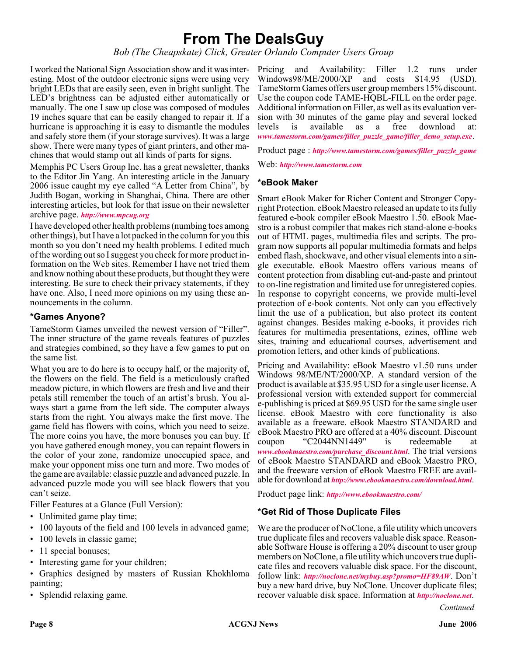## **From The DealsGuy**

*Bob (The Cheapskate) Click, Greater Orlando Computer Users Group*

I worked the National Sign Association show and it was interesting. Most of the outdoor electronic signs were using very bright LEDs that are easily seen, even in bright sunlight. The LED's brightness can be adjusted either automatically or manually. The one I saw up close was composed of modules 19 inches square that can be easily changed to repair it. If a hurricane is approaching it is easy to dismantle the modules and safely store them (if your storage survives). It was a large show. There were many types of giant printers, and other machines that would stamp out all kinds of parts for signs.

Memphis PC Users Group Inc. has a great newsletter, thanks to the Editor Jin Yang. An interesting article in the January 2006 issue caught my eye called "A Letter from China", by Judith Bogan, working in Shanghai, China. There are other interesting articles, but look for that issue on their newsletter archive page. *<http://www.mpcug.org>*

I have developed other health problems (numbing toes among other things), but I have a lot packed in the column for you this month so you don't need my health problems. I edited much of the wording out so I suggest you check for more product information on the Web sites. Remember I have not tried them and know nothing about these products, but thought they were interesting. Be sure to check their privacy statements, if they have one. Also, I need more opinions on my using these announcements in the column.

#### **\*Games Anyone?**

TameStorm Games unveiled the newest version of "Filler". The inner structure of the game reveals features of puzzles and strategies combined, so they have a few games to put on the same list.

What you are to do here is to occupy half, or the majority of, the flowers on the field. The field is a meticulously crafted meadow picture, in which flowers are fresh and live and their petals still remember the touch of an artist's brush. You always start a game from the left side. The computer always starts from the right. You always make the first move. The game field has flowers with coins, which you need to seize. The more coins you have, the more bonuses you can buy. If you have gathered enough money, you can repaint flowers in the color of your zone, randomize unoccupied space, and make your opponent miss one turn and more. Two modes of the game are available: classic puzzle and advanced puzzle. In advanced puzzle mode you will see black flowers that you can't seize.

Filler Features at a Glance (Full Version):

- Unlimited game play time;
- 100 layouts of the field and 100 levels in advanced game;
- 100 levels in classic game;
- 11 special bonuses;
- Interesting game for your children;
- Graphics designed by masters of Russian Khokhloma painting;
- Splendid relaxing game.

Pricing and Availability: Filler 1.2 runs under Windows98/ME/2000/XP and costs \$14.95 (USD). TameStorm Games offers user group members 15% discount. Use the coupon code TAME-HQBL-FILL on the order page. Additional information on Filler, as well as its evaluation version with 30 minutes of the game play and several locked levels is available as a free download at: *[www.tamestorm.com/games/filler\\_puzzle\\_game/filler\\_demo\\_setup.exe](http://www.tamestorm.com/games/filler_puzzle_game/filler_demo_setup.exe)*.

Product page : *[http://www.tamestorm.com/games/filler\\_puzzle\\_game](http://www.tamestorm.com/games/filler_puzzle_game)*

Web: *<http://www.tamestorm.com>*

#### **\*eBook Maker**

Smart eBook Maker for Richer Content and Stronger Copyright Protection. eBook Maestro released an update to its fully featured e-book compiler eBook Maestro 1.50. eBook Maestro is a robust compiler that makes rich stand-alone e-books out of HTML pages, multimedia files and scripts. The program now supports all popular multimedia formats and helps embed flash, shockwave, and other visual elements into a single executable. eBook Maestro offers various means of content protection from disabling cut-and-paste and printout to on-line registration and limited use for unregistered copies. In response to copyright concerns, we provide multi-level protection of e-book contents. Not only can you effectively limit the use of a publication, but also protect its content against changes. Besides making e-books, it provides rich features for multimedia presentations, ezines, offline web sites, training and educational courses, advertisement and promotion letters, and other kinds of publications.

Pricing and Availability: eBook Maestro v1.50 runs under Windows 98/ME/NT/2000/XP. A standard version of the product is available at \$35.95 USD for a single user license. A professional version with extended support for commercial e-publishing is priced at \$69.95 USD for the same single user license. eBook Maestro with core functionality is also available as a freeware. eBook Maestro STANDARD and eBook Maestro PRO are offered at a 40% discount. Discount coupon "C2044NN1449" is redeemable at *[www.ebookmaestro.com/purchase\\_discount.html](http://www.ebookmaestro.com/purchase_discount.html)*. The trial versions of eBook Maestro STANDARD and eBook Maestro PRO, and the freeware version of eBook Maestro FREE are available for download at *<http://www.ebookmaestro.com/download.html>*.

Product page link: *<http://www.ebookmaestro.com/>*

#### **\*Get Rid of Those Duplicate Files**

We are the producer of NoClone, a file utility which uncovers true duplicate files and recovers valuable disk space. Reasonable Software House is offering a 20% discount to user group members on NoClone, a file utility which uncovers true duplicate files and recovers valuable disk space. For the discount, follow link: *<http://noclone.net/mybuy.asp?promo=HF89AW>*. Don't buy a new hard drive, buy NoClone. Uncover duplicate files; recover valuable disk space. Information at *<http://noclone.net>*.

*Continued*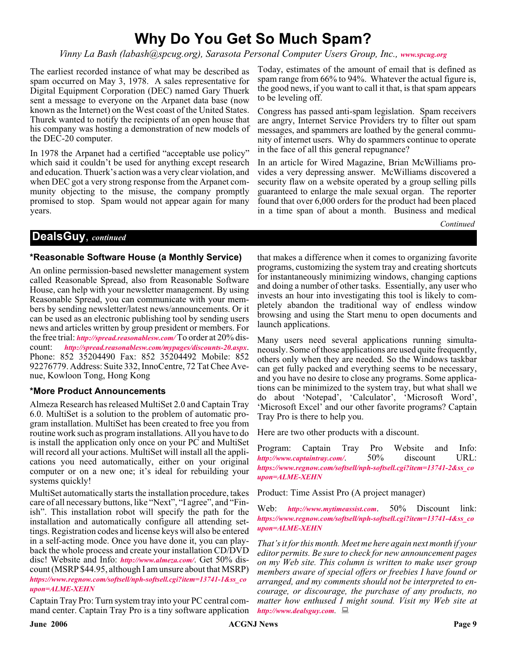# **Why Do You Get So Much Spam?**

*Vinny La Bash (labash@spcug.org), Sarasota Personal Computer Users Group, Inc., [www.spcug.org](http://www.spcug.org)*

The earliest recorded instance of what may be described as spam occurred on May 3, 1978. A sales representative for Digital Equipment Corporation (DEC) named Gary Thuerk sent a message to everyone on the Arpanet data base (now known as the Internet) on the West coast of the United States. Thurek wanted to notify the recipients of an open house that his company was hosting a demonstration of new models of the DEC-20 computer.

In 1978 the Arpanet had a certified "acceptable use policy" which said it couldn't be used for anything except research and education. Thuerk's action was a very clear violation, and when DEC got a very strong response from the Arpanet community objecting to the misuse, the company promptly promised to stop. Spam would not appear again for many years.

Today, estimates of the amount of email that is defined as spam range from 66% to 94%. Whatever the actual figure is, the good news, if you want to call it that, is that spam appears to be leveling off.

Congress has passed anti-spam legislation. Spam receivers are angry, Internet Service Providers try to filter out spam messages, and spammers are loathed by the general community of internet users. Why do spammers continue to operate in the face of all this general repugnance?

In an article for Wired Magazine, Brian McWilliams provides a very depressing answer. McWilliams discovered a security flaw on a website operated by a group selling pills guaranteed to enlarge the male sexual organ. The reporter found that over 6,000 orders for the product had been placed in a time span of about a month. Business and medical

*Continued*

#### **DealsGuy**, *continued*

#### **\*Reasonable Software House (a Monthly Service)**

An online permission-based newsletter management system called Reasonable Spread, also from Reasonable Software House, can help with your newsletter management. By using Reasonable Spread, you can communicate with your members by sending newsletter/latest news/announcements. Or it can be used as an electronic publishing tool by sending users news and articles written by group president or members. For the free trial: *<http://spread.reasonablesw.com/>* To order at 20% discount: *<http://spread.reasonablesw.com/mypages/discounts-20.aspx>*. Phone: 852 35204490 Fax: 852 35204492 Mobile: 852 92276779. Address: Suite 332, InnoCentre, 72 Tat Chee Avenue, Kowloon Tong, Hong Kong

#### **\*More Product Announcements**

Almeza Research has released MultiSet 2.0 and Captain Tray 6.0. MultiSet is a solution to the problem of automatic program installation. MultiSet has been created to free you from routine work such as program installations. All you have to do is install the application only once on your PC and MultiSet will record all your actions. MultiSet will install all the applications you need automatically, either on your original computer or on a new one; it's ideal for rebuilding your systems quickly!

MultiSet automatically starts the installation procedure, takes care of all necessary buttons, like "Next", "I agree", and "Finish". This installation robot will specify the path for the installation and automatically configure all attending settings. Registration codes and license keys will also be entered in a self-acting mode. Once you have done it, you can playback the whole process and create your installation CD/DVD disc! Website and Info: *<http://www.almeza.com/>*. Get 50% discount (MSRP \$44.95, although I am unsure about that MSRP) *[https://www.regnow.com/softsell/nph-softsell.cgi?item=13741-1&ss\\_co](https://www.regnow.com/softsell/nph-softsell.cgi?item=13741-1&ss_coupon=ALME-XEHN) upon=ALME-XEHN*

Captain Tray Pro: Turn system tray into your PC central command center. Captain Tray Pro is a tiny software application

that makes a difference when it comes to organizing favorite programs, customizing the system tray and creating shortcuts for instantaneously minimizing windows, changing captions and doing a number of other tasks. Essentially, any user who invests an hour into investigating this tool is likely to completely abandon the traditional way of endless window browsing and using the Start menu to open documents and launch applications.

Many users need several applications running simultaneously. Some of those applications are used quite frequently, others only when they are needed. So the Windows taskbar can get fully packed and everything seems to be necessary, and you have no desire to close any programs. Some applications can be minimized to the system tray, but what shall we do about 'Notepad', 'Calculator', 'Microsoft Word', 'Microsoft Excel' and our other favorite programs? Captain Tray Pro is there to help you.

Here are two other products with a discount.

Program: Captain Tray Pro Website and Info: *<http://www.captaintray.com/>*. 50% discount URL: *[https://www.regnow.com/softsell/nph-softsell.cgi?item=13741-2&ss\\_co](https://www.regnow.com/softsell/nph-softsell.cgi?item=13741-2&ss_coupon=ALME-XEHN) upon=ALME-XEHN*

Product: Time Assist Pro (A project manager)

Web: *<http://www.mytimeassist.com>*. 50% Discount link: *[https://www.regnow.com/softsell/nph-softsell.cgi?item=13741-4&ss\\_co](https://www.regnow.com/softsell/nph-softsell.cgi?item=13741-4&ss_coupon=ALME-XEHN) upon=ALME-XEHN*

*That's it for this month. Meet me here again next month if your editor permits. Be sure to check for new announcement pages on my Web site. This column is written to make user group members aware of special offers or freebies I have found or arranged, and my comments should not be interpreted to encourage, or discourage, the purchase of any products, no matter how enthused I might sound. Visit my Web site at <http://www.dealsguy.com>.*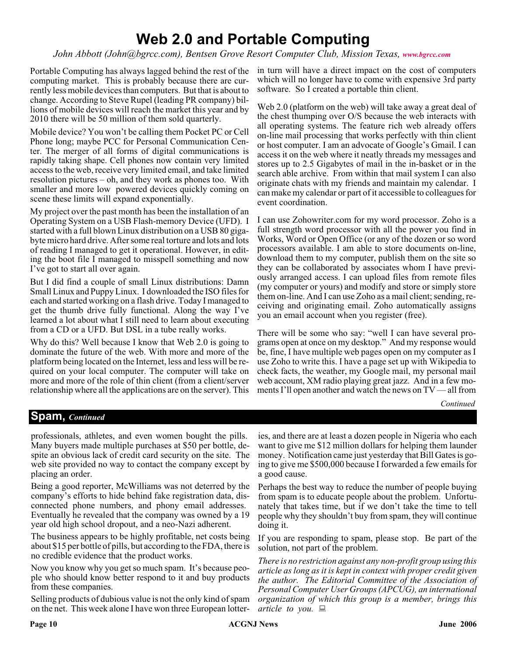# **Web 2.0 and Portable Computing**

*John Abbott (John@bgrcc.com), Bentsen Grove Resort Computer Club, Mission Texas, [www.bgrcc.com](http://www.bgrcc.com )*

Portable Computing has always lagged behind the rest of the computing market. This is probably because there are currently less mobile devices than computers. But that is about to change. According to Steve Rupel (leading PR company) billions of mobile devices will reach the market this year and by 2010 there will be 50 million of them sold quarterly.

Mobile device? You won't be calling them Pocket PC or Cell Phone long; maybe PCC for Personal Communication Center. The merger of all forms of digital communications is rapidly taking shape. Cell phones now contain very limited access to the web, receive very limited email, and take limited resolution pictures – oh, and they work as phones too. With smaller and more low powered devices quickly coming on scene these limits will expand exponentially.

My project over the past month has been the installation of an Operating System on a USB Flash-memory Device (UFD). I started with a full blown Linux distribution on a USB 80 gigabyte micro hard drive. After some real torture and lots and lots of reading I managed to get it operational. However, in editing the boot file I managed to misspell something and now I've got to start all over again.

But I did find a couple of small Linux distributions: Damn Small Linux and Puppy Linux. I downloaded the ISO files for each and started working on a flash drive. Today I managed to get the thumb drive fully functional. Along the way I've learned a lot about what I still need to learn about executing from a CD or a UFD. But DSL in a tube really works.

Why do this? Well because I know that Web 2.0 is going to dominate the future of the web. With more and more of the platform being located on the Internet, less and less will be required on your local computer. The computer will take on more and more of the role of thin client (from a client/server relationship where all the applications are on the server). This

in turn will have a direct impact on the cost of computers which will no longer have to come with expensive 3rd party software. So I created a portable thin client.

Web 2.0 (platform on the web) will take away a great deal of the chest thumping over O/S because the web interacts with all operating systems. The feature rich web already offers on-line mail processing that works perfectly with thin client or host computer. I am an advocate of Google's Gmail. I can access it on the web where it neatly threads my messages and stores up to 2.5 Gigabytes of mail in the in-basket or in the search able archive. From within that mail system I can also originate chats with my friends and maintain my calendar. I can make my calendar or part of it accessible to colleagues for event coordination.

I can use Zohowriter.com for my word processor. Zoho is a full strength word processor with all the power you find in Works, Word or Open Office (or any of the dozen or so word processors available. I am able to store documents on-line, download them to my computer, publish them on the site so they can be collaborated by associates whom I have previously arranged access. I can upload files from remote files (my computer or yours) and modify and store or simply store them on-line. And I can use Zoho as a mail client; sending, receiving and originating email. Zoho automatically assigns you an email account when you register (free).

There will be some who say: "well I can have several programs open at once on my desktop." And my response would be, fine, I have multiple web pages open on my computer as I use Zoho to write this. I have a page set up with Wikipedia to check facts, the weather, my Google mail, my personal mail web account, XM radio playing great jazz. And in a few moments I'll open another and watch the news on TV — all from

*Continued*

### **Spam,** *Continued*

professionals, athletes, and even women bought the pills. Many buyers made multiple purchases at \$50 per bottle, despite an obvious lack of credit card security on the site. The web site provided no way to contact the company except by placing an order.

Being a good reporter, McWilliams was not deterred by the company's efforts to hide behind fake registration data, disconnected phone numbers, and phony email addresses. Eventually he revealed that the company was owned by a 19 year old high school dropout, and a neo-Nazi adherent.

The business appears to be highly profitable, net costs being about \$15 per bottle of pills, but according to the FDA, there is no credible evidence that the product works.

Now you know why you get so much spam. It's because people who should know better respond to it and buy products from these companies.

Selling products of dubious value is not the only kind of spam on the net. This week alone I have won three European lotter-

ies, and there are at least a dozen people in Nigeria who each want to give me \$12 million dollars for helping them launder money. Notification came just yesterday that Bill Gates is going to give me \$500,000 because I forwarded a few emails for a good cause.

Perhaps the best way to reduce the number of people buying from spam is to educate people about the problem. Unfortunately that takes time, but if we don't take the time to tell people why they shouldn't buy from spam, they will continue doing it.

If you are responding to spam, please stop. Be part of the solution, not part of the problem.

*There is no restriction against any non-profit group using this article as long as it is kept in context with proper credit given the author. The Editorial Committee of the Association of Personal Computer User Groups (APCUG), an international organization of which this group is a member, brings this article to you.*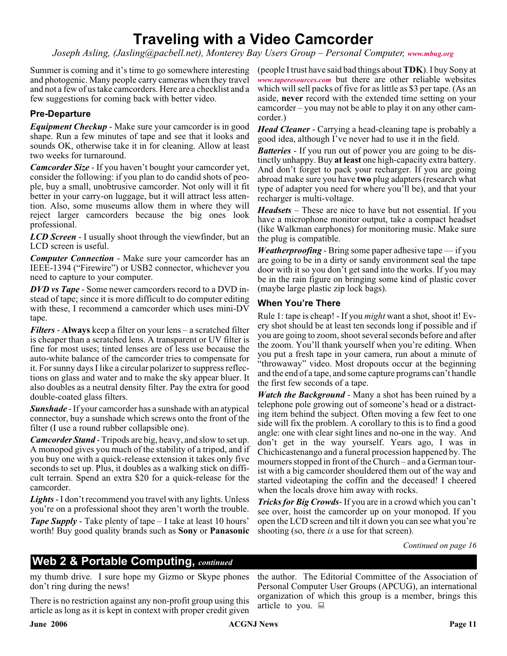# **Traveling with a Video Camcorder**

*Joseph Asling, (Jasling@pacbell.net), Monterey Bay Users Group – Personal Computer, [www.mbug.org](http://www.mbug.org)*

Summer is coming and it's time to go somewhere interesting and photogenic. Many people carry cameras when they travel and not a few of us take camcorders. Here are a checklist and a few suggestions for coming back with better video.

#### **Pre-Departure**

*Equipment Checkup* - Make sure your camcorder is in good shape. Run a few minutes of tape and see that it looks and sounds OK, otherwise take it in for cleaning. Allow at least two weeks for turnaround.

*Camcorder Size* - If you haven't bought your camcorder yet, consider the following: if you plan to do candid shots of people, buy a small, unobtrusive camcorder. Not only will it fit better in your carry-on luggage, but it will attract less attention. Also, some museums allow them in where they will reject larger camcorders because the big ones look professional.

*LCD Screen* - I usually shoot through the viewfinder, but an LCD screen is useful.

*Computer Connection* - Make sure your camcorder has an IEEE-1394 ("Firewire") or USB2 connector, whichever you need to capture to your computer.

*DVD vs Tape* - Some newer camcorders record to a DVD instead of tape; since it is more difficult to do computer editing with these, I recommend a camcorder which uses mini-DV tape.

*Filters* - **Always** keep a filter on your lens – a scratched filter is cheaper than a scratched lens. A transparent or UV filter is fine for most uses; tinted lenses are of less use because the auto-white balance of the camcorder tries to compensate for it. For sunny days I like a circular polarizer to suppress reflections on glass and water and to make the sky appear bluer. It also doubles as a neutral density filter. Pay the extra for good double-coated glass filters.

*Sunshade* - If your camcorder has a sunshade with an atypical connector, buy a sunshade which screws onto the front of the filter (I use a round rubber collapsible one).

*Camcorder Stand* - Tripods are big, heavy, and slow to set up. A monopod gives you much of the stability of a tripod, and if you buy one with a quick-release extension it takes only five seconds to set up. Plus, it doubles as a walking stick on difficult terrain. Spend an extra \$20 for a quick-release for the camcorder.

*Lights*- I don't recommend you travel with any lights. Unless you're on a professional shoot they aren't worth the trouble.

*Tape Supply* - Take plenty of tape – I take at least 10 hours' worth! Buy good quality brands such as **Sony** or **Panasonic** (people I trust have said bad things about**TDK**). I buy Sony at *[www.taperesources.com](http://www.taperesources.com)* but there are other reliable websites which will sell packs of five for as little as \$3 per tape. (As an aside, **never** record with the extended time setting on your camcorder – you may not be able to play it on any other camcorder.)

*Head Cleaner* - Carrying a head-cleaning tape is probably a good idea, although I've never had to use it in the field.

*Batteries* - If you run out of power you are going to be distinctly unhappy. Buy **at least** one high-capacity extra battery. And don't forget to pack your recharger. If you are going abroad make sure you have **two** plug adapters (research what type of adapter you need for where you'll be), and that your recharger is multi-voltage.

*Headsets* – These are nice to have but not essential. If you have a microphone monitor output, take a compact headset (like Walkman earphones) for monitoring music. Make sure the plug is compatible.

*Weatherproofing* - Bring some paper adhesive tape — if you are going to be in a dirty or sandy environment seal the tape door with it so you don't get sand into the works. If you may be in the rain figure on bringing some kind of plastic cover (maybe large plastic zip lock bags).

#### **When You're There**

Rule 1: tape is cheap! - If you *might* want a shot, shoot it! Every shot should be at least ten seconds long if possible and if you are going to zoom, shoot several seconds before and after the zoom. You'll thank yourself when you're editing. When you put a fresh tape in your camera, run about a minute of "throwaway" video. Most dropouts occur at the beginning and the end of a tape, and some capture programs can't handle the first few seconds of a tape.

*Watch the Background* - Many a shot has been ruined by a telephone pole growing out of someone's head or a distracting item behind the subject. Often moving a few feet to one side will fix the problem. A corollary to this is to find a good angle: one with clear sight lines and no-one in the way. And don't get in the way yourself. Years ago, I was in Chichicastenango and a funeral procession happened by. The mourners stopped in front of the Church – and a German tourist with a big camcorder shouldered them out of the way and started videotaping the coffin and the deceased! I cheered when the locals drove him away with rocks.

*Tricks for Big Crowds*- If you are in a crowd which you can't see over, hoist the camcorder up on your monopod. If you open the LCD screen and tilt it down you can see what you're shooting (so, there *is* a use for that screen).

*Continued on page 16*

### **Web 2 & Portable Computing,** *continued*

my thumb drive. I sure hope my Gizmo or Skype phones don't ring during the news!

There is no restriction against any non-profit group using this article as long as it is kept in context with proper credit given

the author. The Editorial Committee of the Association of Personal Computer User Groups (APCUG), an international organization of which this group is a member, brings this article to you.  $\Box$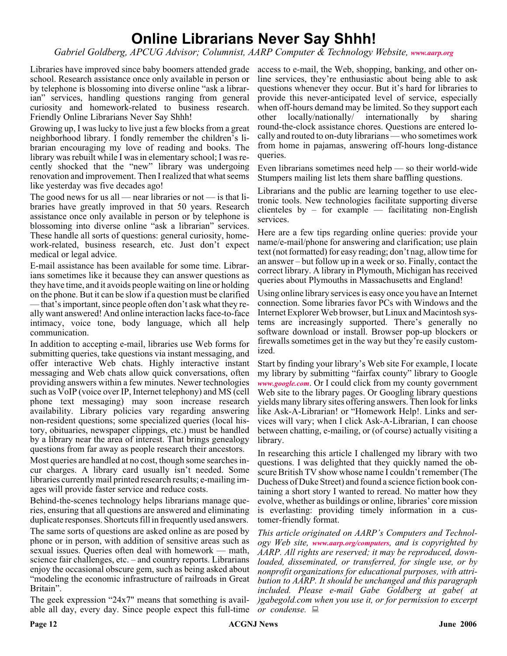# **Online Librarians Never Say Shhh!**

*Gabriel Goldberg, APCUG Advisor; Columnist, AARP Computer & Technology Website, [www.aarp.org](http://www.aarp.org)*

Libraries have improved since baby boomers attended grade school. Research assistance once only available in person or by telephone is blossoming into diverse online "ask a librarian" services, handling questions ranging from general curiosity and homework-related to business research. Friendly Online Librarians Never Say Shhh!

Growing up, I was lucky to live just a few blocks from a great neighborhood library. I fondly remember the children's librarian encouraging my love of reading and books. The library was rebuilt while I was in elementary school; I was recently shocked that the "new" library was undergoing renovation and improvement. Then I realized that what seems like yesterday was five decades ago!

The good news for us all — near libraries or not — is that libraries have greatly improved in that 50 years. Research assistance once only available in person or by telephone is blossoming into diverse online "ask a librarian" services. These handle all sorts of questions: general curiosity, homework-related, business research, etc. Just don't expect medical or legal advice.

E-mail assistance has been available for some time. Librarians sometimes like it because they can answer questions as they have time, and it avoids people waiting on line or holding on the phone. But it can be slow if a question must be clarified — that's important, since people often don't ask what they really want answered! And online interaction lacks face-to-face intimacy, voice tone, body language, which all help communication.

In addition to accepting e-mail, libraries use Web forms for submitting queries, take questions via instant messaging, and offer interactive Web chats. Highly interactive instant messaging and Web chats allow quick conversations, often providing answers within a few minutes. Newer technologies such as VoIP (voice over IP, Internet telephony) and MS (cell phone text messaging) may soon increase research availability. Library policies vary regarding answering non-resident questions; some specialized queries (local history, obituaries, newspaper clippings, etc.) must be handled by a library near the area of interest. That brings genealogy questions from far away as people research their ancestors.

Most queries are handled at no cost, though some searches incur charges. A library card usually isn't needed. Some libraries currently mail printed research results; e-mailing images will provide faster service and reduce costs.

Behind-the-scenes technology helps librarians manage queries, ensuring that all questions are answered and eliminating duplicate responses. Shortcuts fill in frequently used answers.

The same sorts of questions are asked online as are posed by phone or in person, with addition of sensitive areas such as sexual issues. Queries often deal with homework — math, science fair challenges, etc. – and country reports. Librarians enjoy the occasional obscure gem, such as being asked about "modeling the economic infrastructure of railroads in Great Britain".

The geek expression "24x7" means that something is available all day, every day. Since people expect this full-time

access to e-mail, the Web, shopping, banking, and other online services, they're enthusiastic about being able to ask questions whenever they occur. But it's hard for libraries to provide this never-anticipated level of service, especially when off-hours demand may be limited. So they support each other locally/nationally/ internationally by sharing round-the-clock assistance chores. Questions are entered locally and routed to on-duty librarians — who sometimes work from home in pajamas, answering off-hours long-distance queries.

Even librarians sometimes need help — so their world-wide Stumpers mailing list lets them share baffling questions.

Librarians and the public are learning together to use electronic tools. New technologies facilitate supporting diverse clienteles by – for example — facilitating non-English services.

Here are a few tips regarding online queries: provide your name/e-mail/phone for answering and clarification; use plain text (not formatted) for easy reading; don't nag, allow time for an answer – but follow up in a week or so. Finally, contact the correct library. A library in Plymouth, Michigan has received queries about Plymouths in Massachusetts and England!

Using online library services is easy once you have an Internet connection. Some libraries favor PCs with Windows and the Internet Explorer Web browser, but Linux and Macintosh systems are increasingly supported. There's generally no software download or install. Browser pop-up blockers or firewalls sometimes get in the way but they're easily customized.

Start by finding your library's Web site For example, I locate my library by submitting "fairfax county" library to Google *[www.google.com](http://www.google.com)*. Or I could click from my county government Web site to the library pages. Or Googling library questions yields many library sites offering answers. Then look for links like Ask-A-Librarian! or "Homework Help!. Links and services will vary; when I click Ask-A-Librarian, I can choose between chatting, e-mailing, or (of course) actually visiting a library.

In researching this article I challenged my library with two questions. I was delighted that they quickly named the obscure British TV show whose name I couldn't remember (The Duchess of Duke Street) and found a science fiction book containing a short story I wanted to reread. No matter how they evolve, whether as buildings or online, libraries' core mission is everlasting: providing timely information in a customer-friendly format.

*This article originated on AARP's Computers and Technology Web site, [www.aarp.org/computers](http://www.aarp.org/computers), and is copyrighted by AARP. All rights are reserved; it may be reproduced, downloaded, disseminated, or transferred, for single use, or by nonprofit organizations for educational purposes, with attribution to AARP. It should be unchanged and this paragraph included. Please e-mail Gabe Goldberg at gabe( at )gabegold.com when you use it, or for permission to excerpt or condense.*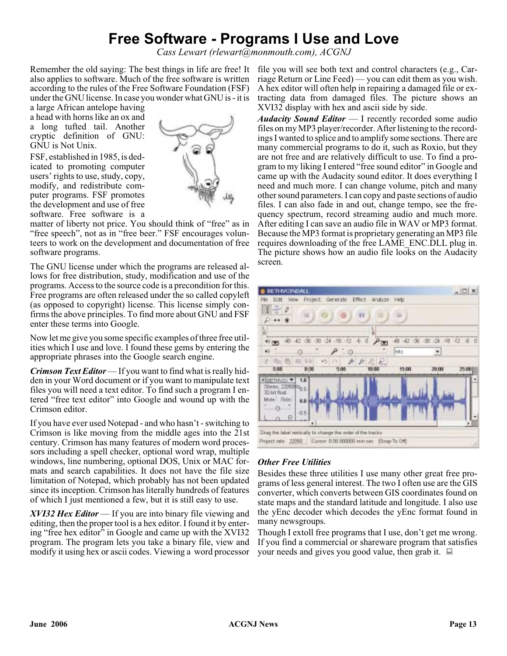# **Free Software - Programs I Use and Love**

*Cass Lewart (rlewart@monmouth.com), ACGNJ*

also applies to software. Much of the free software is written according to the rules of the Free Software Foundation (FSF) under the GNU license. In case you wonder what GNU is - it is

a large African antelope having a head with horns like an ox and a long tufted tail. Another cryptic definition of GNU: GNU is Not Unix.

FSF, established in 1985, is dedicated to promoting computer users' rights to use, study, copy, modify, and redistribute computer programs. FSF promotes the development and use of free software. Free software is a



matter of liberty not price. You should think of "free" as in "free speech", not as in "free beer." FSF encourages volunteers to work on the development and documentation of free software programs.

The GNU license under which the programs are released allows for free distribution, study, modification and use of the programs. Access to the source code is a precondition for this. Free programs are often released under the so called copyleft (as opposed to copyright) license. This license simply confirms the above principles. To find more about GNU and FSF enter these terms into Google.

Now let me give you some specific examples of three free utilities which I use and love. I found these gems by entering the appropriate phrases into the Google search engine.

*Crimson Text Editor* — If you want to find what is really hidden in your Word document or if you want to manipulate text files you will need a text editor. To find such a program I entered "free text editor" into Google and wound up with the Crimson editor.

If you have ever used Notepad - and who hasn't - switching to Crimson is like moving from the middle ages into the 21st century. Crimson has many features of modern word processors including a spell checker, optional word wrap, multiple windows, line numbering, optional DOS, Unix or MAC formats and search capabilities. It does not have the file size limitation of Notepad, which probably has not been updated since its inception. Crimson has literally hundreds of features of which I just mentioned a few, but it is still easy to use.

*XVI32 Hex Editor* — If you are into binary file viewing and editing, then the proper tool is a hex editor. I found it by entering "free hex editor" in Google and came up with the XVI32 program. The program lets you take a binary file, view and modify it using hex or ascii codes. Viewing a word processor

Remember the old saying: The best things in life are free! It file you will see both text and control characters (e.g., Carriage Return or Line Feed) — you can edit them as you wish. A hex editor will often help in repairing a damaged file or extracting data from damaged files. The picture shows an XVI32 display with hex and ascii side by side.

> *Audacity Sound Editor* — I recently recorded some audio files on my MP3 player/recorder. After listening to the recordings I wanted to splice and to amplify some sections. There are many commercial programs to do it, such as Roxio, but they are not free and are relatively difficult to use. To find a program to my liking I entered "free sound editor" in Google and came up with the Audacity sound editor. It does everything I need and much more. I can change volume, pitch and many other sound parameters. I can copy and paste sections of audio files. I can also fade in and out, change tempo, see the frequency spectrum, record streaming audio and much more. After editing I can save an audio file in WAV or MP3 format. Because the MP3 format is proprietary generating an MP3 file requires downloading of the free LAME\_ENC.DLL plug in. The picture shows how an audio file looks on the Audacity screen.



#### *Other Free Utilities*

Besides these three utilities I use many other great free programs of less general interest. The two I often use are the GIS converter, which converts between GIS coordinates found on state maps and the standard latitude and longitude. I also use the yEnc decoder which decodes the yEnc format found in many newsgroups.

Though I extoll free programs that I use, don't get me wrong. If you find a commercial or shareware program that satisfies your needs and gives you good value, then grab it.  $\Box$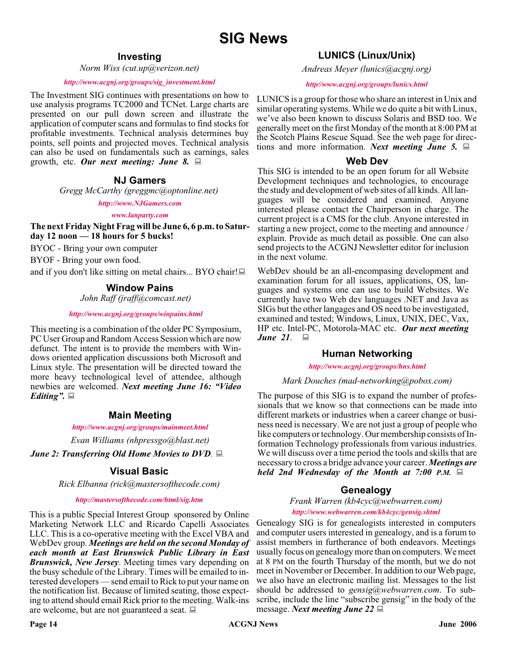#### **Investing**

*Norm Wiss (cut.up@verizon.net)*

#### *[http://www.acgnj.org/groups/sig\\_investment.html](http://www.acgnj.org/groups/sig_investment.html)*

The Investment SIG continues with presentations on how to use analysis programs TC2000 and TCNet. Large charts are presented on our pull down screen and illustrate the application of computer scans and formulas to find stocks for profitable investments. Technical analysis determines buy points, sell points and projected moves. Technical analysis can also be used on fundamentals such as earnings, sales growth, etc. *Our next meeting: June 8.*

#### **NJ Gamers**

*Gregg McCarthy (greggmc@optonline.net)*

*<http://www.NJGamers.com>*

*[www.lanparty.com](http://www.lanparty.com)*

**The next Friday Night Frag will be June 6, 6 p.m. to Saturday 12 noon — 18 hours for 5 bucks!**

BYOC - Bring your own computer

BYOF - Bring your own food.

and if you don't like sitting on metal chairs... BYO chair!

#### **Window Pains**

*John Raff (jraff@comcast.net)*

#### *<http://www.acgnj.org/groups/winpains.html>*

This meeting is a combination of the older PC Symposium, PC User Group and Random Access Session which are now defunct. The intent is to provide the members with Windows oriented application discussions both Microsoft and Linux style. The presentation will be directed toward the more heavy technological level of attendee, although newbies are welcomed. *Next meeting June 16: "Video Editing".*

#### **Main Meeting**

*<http://www.acgnj.org/groups/mainmeet.html>*

*Evan Williams (nhpressgo@blast.net)*

*June 2: Transferring Old Home Movies to DVD.*

#### **Visual Basic**

*Rick Elbanna (rick@mastersofthecode.com)*

#### *<http://mastersofthecode.com/html/sig.htm>*

This is a public Special Interest Group sponsored by Online Marketing Network LLC and Ricardo Capelli Associates LLC. This is a co-operative meeting with the Excel VBA and WebDev group. *Meetings are held on the second Monday of each month at East Brunswick Public Library in East Brunswick, New Jersey*. Meeting times vary depending on the busy schedule of the Library. Times will be emailed to interested developers — send email to Rick to put your name on the notification list. Because of limited seating, those expecting to attend should email Rick prior to the meeting. Walk-ins are welcome, but are not guaranteed a seat.

### **LUNICS (Linux/Unix)**

*Andreas Meyer (lunics@acgnj.org)*

#### *<http//www.acgnj.org/groups/lunics.html>*

LUNICS is a group for those who share an interest in Unix and similar operating systems. While we do quite a bit with Linux, we've also been known to discuss Solaris and BSD too. We generally meet on the first Monday of the month at 8:00 PM at the Scotch Plains Rescue Squad. See the web page for directions and more information. *Next meeting June 5.*

#### **Web Dev**

This SIG is intended to be an open forum for all Website Development techniques and technologies, to encourage the study and development of web sites of all kinds. All languages will be considered and examined. Anyone interested please contact the Chairperson in charge. The current project is a CMS for the club. Anyone interested in starting a new project, come to the meeting and announce / explain. Provide as much detail as possible. One can also send projects to the ACGNJ Newsletter editor for inclusion in the next volume.

WebDev should be an all-encompasing development and examination forum for all issues, applications, OS, languages and systems one can use to build Websites. We currently have two Web dev languages .NET and Java as SIGs but the other langages and OS need to be investigated, examined and tested; Windows, Linux, UNIX, DEC, Vax, HP etc. Intel-PC, Motorola-MAC etc. *Our next meeting <i>June* 21. ■

#### **Human Networking**

*<http://www.acgnj.org/groups/hns.html>*

#### *Mark Douches (mad-networking@pobox.com)*

The purpose of this SIG is to expand the number of professionals that we know so that connections can be made into different markets or industries when a career change or business need is necessary. We are not just a group of people who like computers or technology. Our membership consists of Information Technology professionals from various industries. We will discuss over a time period the tools and skills that are necessary to cross a bridge advance your career. *Meetings are held 2nd Wednesday of the Month at 7:00 P.M.*

### **Genealogy**

*Frank Warren (kb4cyc@webwarren.com) <http://www.webwarren.com/kb4cyc/gensig.shtml>*

Genealogy SIG is for genealogists interested in computers and computer users interested in genealogy, and is a forum to assist members in furtherance of both endeavors. Meetings usually focus on genealogy more than on computers. We meet at 8 PM on the fourth Thursday of the month, but we do not meet in November or December. In addition to our Web page, we also have an electronic mailing list. Messages to the list should be addressed to *gensig@webwarren.com*. To subscribe, include the line "subscribe gensig" in the body of the message. *Next meeting June 22*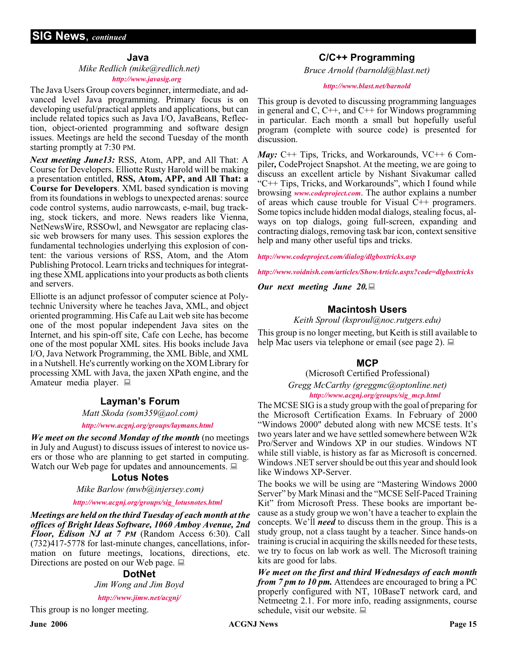#### **Java**

#### *Mike Redlich (mike@redlich.net)*

#### *<http://www.javasig.org>*

The Java Users Group covers beginner, intermediate, and advanced level Java programming. Primary focus is on developing useful/practical applets and applications, but can include related topics such as Java I/O, JavaBeans, Reflection, object-oriented programming and software design issues. Meetings are held the second Tuesday of the month starting promptly at 7:30 PM.

*Next meeting June13:* RSS, Atom, APP, and All That: A Course for Developers. Elliotte Rusty Harold will be making a presentation entitled, **RSS, Atom, APP, and All That: a Course for Developers**. XML based syndication is moving from its foundations in weblogs to unexpected arenas: source code control systems, audio narrowcasts, e-mail, bug tracking, stock tickers, and more. News readers like Vienna, NetNewsWire, RSSOwl, and Newsgator are replacing classic web browsers for many uses. This session explores the fundamental technologies underlying this explosion of content: the various versions of RSS, Atom, and the Atom Publishing Protocol. Learn tricks and techniques for integrating these XML applications into your products as both clients and servers.

Elliotte is an adjunct professor of computer science at Polytechnic University where he teaches Java, XML, and object oriented programming. His Cafe au Lait web site has become one of the most popular independent Java sites on the Internet, and his spin-off site, Cafe con Leche, has become one of the most popular XML sites. His books include Java I/O, Java Network Programming, the XML Bible, and XML in a Nutshell. He's currently working on the XOM Library for processing XML with Java, the jaxen XPath engine, and the Amateur media player.

#### **Layman's Forum**

*Matt Skoda (som359@aol.com)*

*<http://www.acgnj.org/groups/laymans.html>*

*We meet on the second Monday of the month* (no meetings in July and August) to discuss issues of interest to novice users or those who are planning to get started in computing. Watch our Web page for updates and announcements.  $\Box$ 

#### **Lotus Notes**

*Mike Barlow (mwb@injersey.com)*

#### *[http://www.acgnj.org/groups/sig\\_lotusnotes.html](http://www.acgnj.org/groups/sig_lotusnotes.html)*

*Meetings are held on the third Tuesday of each month at the offices of Bright Ideas Software, 1060 Amboy Avenue, 2nd Floor, Edison NJ at 7 PM* (Random Access 6:30). Call (732)417-5778 for last-minute changes, cancellations, information on future meetings, locations, directions, etc. Directions are posted on our Web page.

#### **DotNet**

*Jim Wong and Jim Boyd*

*<http://www.jimw.net/acgnj/>*

This group is no longer meeting.

#### **C/C++ Programming**

*Bruce Arnold (barnold@blast.net)*

#### *<http://www.blast.net/barnold>*

This group is devoted to discussing programming languages in general and C,  $C_{++}$ , and  $C_{++}$  for Windows programming in particular. Each month a small but hopefully useful program (complete with source code) is presented for discussion.

*May:* C++ Tips, Tricks, and Workarounds, VC++ 6 Compiler*,* CodeProject Snapshot. At the meeting, we are going to discuss an excellent article by Nishant Sivakumar called "C++ Tips, Tricks, and Workarounds", which I found while browsing *[www.codeproject.com](http://www.codeproject.com)*. The author explains a number of areas which cause trouble for Visual C++ programers. Some topics include hidden modal dialogs, stealing focus, always on top dialogs, going full-screen, expanding and contracting dialogs, removing task bar icon, context sensitive help and many other useful tips and tricks.

*<http://www.codeproject.com/dialog/dlgboxtricks.asp>*

*<http://www.voidnish.com/articles/ShowArticle.aspx?code=dlgboxtricks>*

*Our next meeting June 20.*

#### **Macintosh Users**

*Keith Sproul (ksproul@noc.rutgers.edu)*

This group is no longer meeting, but Keith is still available to help Mac users via telephone or email (see page 2).  $\Box$ 

#### **MCP**

(Microsoft Certified Professional)

*Gregg McCarthy (greggmc@optonline.net) [http://www.acgnj.org/groups/sig\\_mcp.html](http://www.acgnj.org/groups/sig_mcp.html)*

The MCSE SIG is a study group with the goal of preparing for the Microsoft Certification Exams. In February of 2000 "Windows 2000" debuted along with new MCSE tests. It's two years later and we have settled somewhere between W2k Pro/Server and Windows XP in our studies. Windows NT while still viable, is history as far as Microsoft is concerned. Windows .NET server should be out this year and should look like Windows XP-Server.

The books we will be using are "Mastering Windows 2000 Server" by Mark Minasi and the "MCSE Self-Paced Training Kit" from Microsoft Press. These books are important because as a study group we won't have a teacher to explain the concepts. We'll *need* to discuss them in the group. This is a study group, not a class taught by a teacher. Since hands-on training is crucial in acquiring the skills needed for these tests, we try to focus on lab work as well. The Microsoft training kits are good for labs.

*We meet on the first and third Wednesdays of each month from 7 pm to 10 pm.* Attendees are encouraged to bring a PC properly configured with NT, 10BaseT network card, and Netmeetng 2.1. For more info, reading assignments, course schedule, visit our website.  $\Box$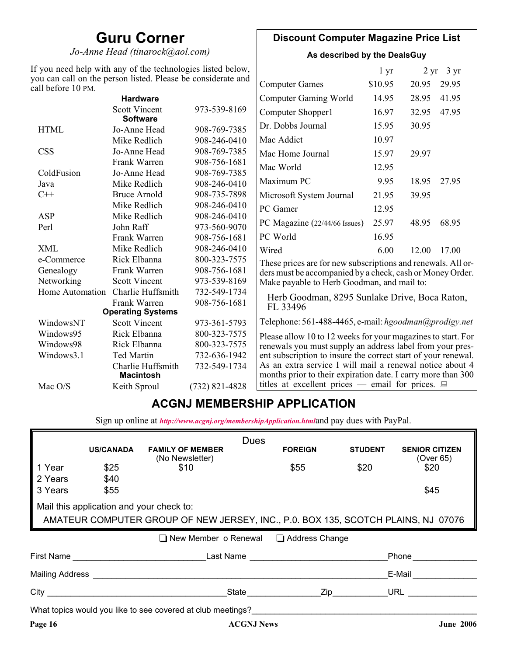## **Guru Corner**

*Jo-Anne Head (tinarock@aol.com)*

### **Discount Computer Magazine Price List**

**As described by the DealsGuy**

| If you need help with any of the technologies listed below,<br>you can call on the person listed. Please be considerate and |                                         |                  |                                                                                                                          | 1 <sub>yr</sub> |       | $2 \text{ yr}$ 3 yr |
|-----------------------------------------------------------------------------------------------------------------------------|-----------------------------------------|------------------|--------------------------------------------------------------------------------------------------------------------------|-----------------|-------|---------------------|
| call before 10 PM.                                                                                                          |                                         |                  | <b>Computer Games</b>                                                                                                    | \$10.95         | 20.95 | 29.95               |
|                                                                                                                             | <b>Hardware</b>                         |                  | <b>Computer Gaming World</b>                                                                                             | 14.95           | 28.95 | 41.95               |
|                                                                                                                             | <b>Scott Vincent</b><br><b>Software</b> | 973-539-8169     | Computer Shopper1                                                                                                        | 16.97           | 32.95 | 47.95               |
| <b>HTML</b>                                                                                                                 | Jo-Anne Head                            | 908-769-7385     | Dr. Dobbs Journal                                                                                                        | 15.95           | 30.95 |                     |
|                                                                                                                             | Mike Redlich                            | 908-246-0410     | Mac Addict                                                                                                               | 10.97           |       |                     |
| <b>CSS</b>                                                                                                                  | Jo-Anne Head                            | 908-769-7385     | Mac Home Journal                                                                                                         | 15.97           | 29.97 |                     |
|                                                                                                                             | Frank Warren                            | 908-756-1681     | Mac World                                                                                                                | 12.95           |       |                     |
| ColdFusion                                                                                                                  | Jo-Anne Head                            | 908-769-7385     |                                                                                                                          |                 |       |                     |
| Java                                                                                                                        | Mike Redlich                            | 908-246-0410     | Maximum PC                                                                                                               | 9.95            | 18.95 | 27.95               |
| $C++$                                                                                                                       | <b>Bruce Arnold</b>                     | 908-735-7898     | Microsoft System Journal                                                                                                 | 21.95           | 39.95 |                     |
|                                                                                                                             | Mike Redlich                            | 908-246-0410     | PC Gamer                                                                                                                 | 12.95           |       |                     |
| ASP                                                                                                                         | Mike Redlich                            | 908-246-0410     |                                                                                                                          | 25.97           |       | 68.95               |
| Perl                                                                                                                        | John Raff                               | 973-560-9070     | PC Magazine (22/44/66 Issues)                                                                                            |                 | 48.95 |                     |
|                                                                                                                             | Frank Warren                            | 908-756-1681     | PC World                                                                                                                 | 16.95           |       |                     |
| <b>XML</b>                                                                                                                  | Mike Redlich                            | 908-246-0410     | Wired                                                                                                                    | 6.00            | 12.00 | 17.00               |
| e-Commerce                                                                                                                  | Rick Elbanna                            | 800-323-7575     | These prices are for new subscriptions and renewals. All or-                                                             |                 |       |                     |
| Genealogy                                                                                                                   | Frank Warren                            | 908-756-1681     | ders must be accompanied by a check, cash or Money Order.                                                                |                 |       |                     |
| Networking                                                                                                                  | <b>Scott Vincent</b>                    | 973-539-8169     | Make payable to Herb Goodman, and mail to:                                                                               |                 |       |                     |
| Home Automation                                                                                                             | Charlie Huffsmith                       | 732-549-1734     | Herb Goodman, 8295 Sunlake Drive, Boca Raton,                                                                            |                 |       |                     |
|                                                                                                                             | Frank Warren                            | 908-756-1681     | FL 33496                                                                                                                 |                 |       |                     |
|                                                                                                                             | <b>Operating Systems</b>                |                  |                                                                                                                          |                 |       |                     |
| WindowsNT                                                                                                                   | <b>Scott Vincent</b>                    | 973-361-5793     | Telephone: 561-488-4465, e-mail: hgoodman@prodigy.net                                                                    |                 |       |                     |
| Windows95                                                                                                                   | Rick Elbanna                            | 800-323-7575     | Please allow 10 to 12 weeks for your magazines to start. For                                                             |                 |       |                     |
| Windows98                                                                                                                   | Rick Elbanna                            | 800-323-7575     | renewals you must supply an address label from your pres-                                                                |                 |       |                     |
| Windows3.1                                                                                                                  | <b>Ted Martin</b>                       | 732-636-1942     | ent subscription to insure the correct start of your renewal.                                                            |                 |       |                     |
|                                                                                                                             | Charlie Huffsmith<br><b>Macintosh</b>   | 732-549-1734     | As an extra service I will mail a renewal notice about 4<br>months prior to their expiration date. I carry more than 300 |                 |       |                     |
| Mac O/S                                                                                                                     | Keith Sproul                            | $(732)$ 821-4828 | titles at excellent prices — email for prices. $\Box$                                                                    |                 |       |                     |

### **ACGNJ MEMBERSHIP APPLICATION**

Sign up online at *[http://www.acgnj.org/membershipApplication.html](http://www.acgnj.org/membershipApplication.html )*and pay dues with PayPal.

|                                                                                   |                                          |                                                                                                                                                                                                                                                                                             | <b>Dues</b>          |                |                |                                    |  |
|-----------------------------------------------------------------------------------|------------------------------------------|---------------------------------------------------------------------------------------------------------------------------------------------------------------------------------------------------------------------------------------------------------------------------------------------|----------------------|----------------|----------------|------------------------------------|--|
|                                                                                   | <b>US/CANADA</b>                         | <b>FAMILY OF MEMBER</b><br>(No Newsletter)                                                                                                                                                                                                                                                  |                      | <b>FOREIGN</b> | <b>STUDENT</b> | <b>SENIOR CITIZEN</b><br>(Over 65) |  |
| 1 Year                                                                            | \$25                                     | \$10                                                                                                                                                                                                                                                                                        | \$55                 |                | \$20           | \$20                               |  |
| 2 Years                                                                           | \$40                                     |                                                                                                                                                                                                                                                                                             |                      |                |                |                                    |  |
| 3 Years                                                                           | \$55                                     |                                                                                                                                                                                                                                                                                             |                      |                |                | \$45                               |  |
|                                                                                   | Mail this application and your check to: |                                                                                                                                                                                                                                                                                             |                      |                |                |                                    |  |
| AMATEUR COMPUTER GROUP OF NEW JERSEY, INC., P.0. BOX 135, SCOTCH PLAINS, NJ 07076 |                                          |                                                                                                                                                                                                                                                                                             |                      |                |                |                                    |  |
|                                                                                   |                                          |                                                                                                                                                                                                                                                                                             |                      |                |                |                                    |  |
|                                                                                   |                                          | ■ New Member o Renewal ■ Address Change                                                                                                                                                                                                                                                     |                      |                |                |                                    |  |
|                                                                                   |                                          | First Name <b>Example 2018</b> Last Name <b>Land America</b>                                                                                                                                                                                                                                |                      |                |                | Phone                              |  |
|                                                                                   |                                          | Mailing Address <b>Mailing</b> Address <b>Mailing</b> Address <b>Mailing</b> Address <b>Mailing</b> Address <b>Mailing</b> Address <b>Mailing</b> Address <b>Mailing</b> Address <b>Mailing</b> Address <b>Mailing</b> Address <b>Mailing</b> Address <b>Mailing</b> Address <b>Mailing</b> |                      |                |                | E-Mail                             |  |
|                                                                                   |                                          |                                                                                                                                                                                                                                                                                             | State <b>Zip Zip</b> |                |                | URL $\qquad \qquad \qquad$         |  |
|                                                                                   |                                          | What topics would you like to see covered at club meetings?                                                                                                                                                                                                                                 |                      |                |                |                                    |  |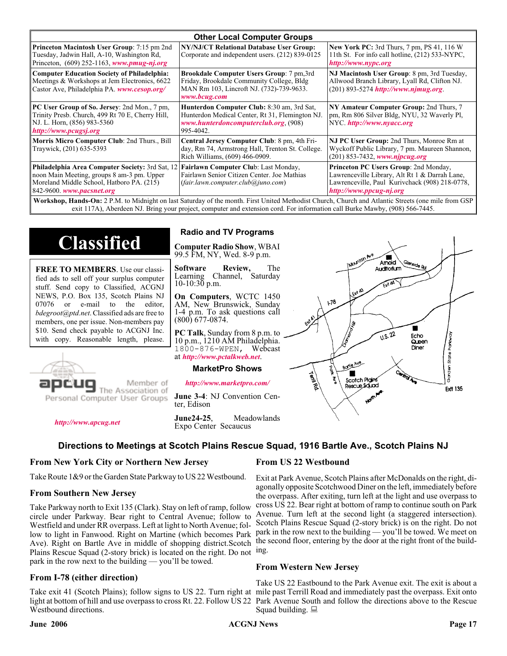| <b>Other Local Computer Groups</b>                                                                                                                                             |                                                                                                                                                    |                                                                                                                                                                      |  |  |  |
|--------------------------------------------------------------------------------------------------------------------------------------------------------------------------------|----------------------------------------------------------------------------------------------------------------------------------------------------|----------------------------------------------------------------------------------------------------------------------------------------------------------------------|--|--|--|
| <b>Princeton Macintosh User Group:</b> 7:15 pm 2nd<br>Tuesday, Jadwin Hall, A-10, Washington Rd,<br>Princeton, $(609)$ 252-1163, www.pmug-nj.org                               | NY/NJ/CT Relational Database User Group:<br>Corporate and independent users. (212) 839-0125                                                        | <b>New York PC:</b> 3rd Thurs, 7 pm, PS 41, 116 W<br>11th St. For info call hotline, (212) 533-NYPC,<br>http://www.nypc.org                                          |  |  |  |
| <b>Computer Education Society of Philadelphia:</b><br>Meetings & Workshops at Jem Electronics, 6622<br>Castor Ave, Philadelphia PA. www.cesop.org/                             | Brookdale Computer Users Group: 7 pm,3rd<br>Friday, Brookdale Community College, Bldg<br>MAN Rm 103, Lincroft NJ. (732)-739-9633.<br>www.bcug.com  | NJ Macintosh User Group: 8 pm, 3rd Tuesday,<br>Allwood Branch Library, Lyall Rd, Clifton NJ.<br>$(201)$ 893-5274 http://www.njmug.org.                               |  |  |  |
| PC User Group of So. Jersey: 2nd Mon., 7 pm,<br>Trinity Presb. Church, 499 Rt 70 E, Cherry Hill,<br>NJ. L. Horn, (856) 983-5360<br>http://www.pcugsj.org                       | Hunterdon Computer Club: 8:30 am, 3rd Sat,<br>Hunterdon Medical Center, Rt 31, Flemington NJ.<br>www.hunterdoncomputerclub.org. (908)<br>995-4042. | NY Amateur Computer Group: 2nd Thurs, 7<br>pm, Rm 806 Silver Bldg, NYU, 32 Waverly Pl,<br>NYC http://www.nyacc.org                                                   |  |  |  |
| Morris Micro Computer Club: 2nd Thurs., Bill<br>Traywick, (201) 635-5393                                                                                                       | Central Jersey Computer Club: 8 pm, 4th Fri-<br>day, Rm 74, Armstrong Hall, Trenton St. College.<br>Rich Williams, (609) 466-0909.                 | NJ PC User Group: 2nd Thurs, Monroe Rm at<br>Wyckoff Public Library, 7 pm. Maureen Shannon,<br>(201) 853-7432, www.njpcug.org                                        |  |  |  |
| <b>Philadelphia Area Computer Society: 3rd Sat, 12</b><br>noon Main Meeting, groups 8 am-3 pm. Upper<br>Moreland Middle School, Hatboro PA. (215)<br>842-9600. www.pacsnet.org | Fairlawn Computer Club: Last Monday,<br>Fairlawn Senior Citizen Center. Joe Mathias<br>(fair.lawn.computer. club@juno.com)                         | Princeton PC Users Group: 2nd Monday,<br>Lawrenceville Library, Alt Rt 1 & Darrah Lane,<br>Lawrenceville, Paul Kurivchack (908) 218-0778,<br>http://www.ppcug-nj.org |  |  |  |
| Workshop Hands-On: 2 PM to Midnight on last Saturday of the month First United Methodist Church Church and Atlantic Streets (one mile from GSP)                                |                                                                                                                                                    |                                                                                                                                                                      |  |  |  |

**Workshop, Hands-On:** 2 P.M. to Midnight on last Saturday of the month. First United Methodist Church, Church and Atlantic Streets (one mile from GSP exit 117A), Aberdeen NJ. Bring your project, computer and extension cord. For information call Burke Mawby, (908) 566-7445.

# **Classified**

**FREE TO MEMBERS**. Use our classified ads to sell off your surplus computer stuff. Send copy to Classified, ACGNJ NEWS, P.O. Box 135, Scotch Plains NJ 07076 or e-mail to the editor, *bdegroot@ptd.net*. Classified ads are free to members, one per issue. Non-members pay \$10. Send check payable to ACGNJ Inc. with copy. Reasonable length, please.



*<http://www.apcug.net>*

Member of The Association of

Personal Computer User Groups

### **Computer Radio Show**, WBAI

99.5 FM, NY, Wed. 8-9 p.m.

**Radio and TV Programs**

**Software Review,** The Channel, Saturday  $10-10:30$  p.m.

**On Computers**, WCTC 1450 AM, New Brunswick, Sunday 1-4 p.m. To ask questions call (800) 677-0874.

**PC Talk**, Sunday from 8 p.m. to 10 p.m., 1210 AM Philadelphia. 1800-876-WPEN, Webcast at *<http://www.pctalkweb.net>*.

#### **MarketPro Shows**

*<http://www.marketpro.com/>*

**June 3-4**: NJ Convention Center, Edison

**June24-25**, Meadowlands Expo Center Secaucus

#### $\sqrt{1.5.22}$ Echo Queen Garden State Park Diner Borle Ave Territors Scotch Pigins Rescue Sound **Ext1 135**

 $178$ 

Amold Auditorium

ш

#### **Directions to Meetings at Scotch Plains Rescue Squad, 1916 Bartle Ave., Scotch Plains NJ**

#### **From New York City or Northern New Jersey**

Take Route 1&9 or the Garden State Parkway to US 22 Westbound.

#### **From Southern New Jersey**

Take Parkway north to Exit 135 (Clark). Stay on left of ramp, follow circle under Parkway. Bear right to Central Avenue; follow to Westfield and under RR overpass. Left at light to North Avenue; follow to light in Fanwood. Right on Martine (which becomes Park Ave). Right on Bartle Ave in middle of shopping district.Scotch Plains Rescue Squad (2-story brick) is located on the right. Do not ing. park in the row next to the building — you'll be towed.

#### **From I-78 (either direction)**

Take exit 41 (Scotch Plains); follow signs to US 22. Turn right at mile past Terrill Road and immediately past the overpass. Exit onto light at bottom of hill and use overpass to cross Rt. 22. Follow US 22 Park Avenue South and follow the directions above to the Rescue Westbound directions.

#### **From US 22 Westbound**

Exit at Park Avenue, Scotch Plains after McDonalds on the right, diagonally opposite Scotchwood Diner on the left, immediately before the overpass. After exiting, turn left at the light and use overpass to cross US 22. Bear right at bottom of ramp to continue south on Park Avenue. Turn left at the second light (a staggered intersection). Scotch Plains Rescue Squad (2-story brick) is on the right. Do not park in the row next to the building — you'll be towed. We meet on the second floor, entering by the door at the right front of the build-

#### **From Western New Jersey**

Take US 22 Eastbound to the Park Avenue exit. The exit is about a Squad building.  $\Box$